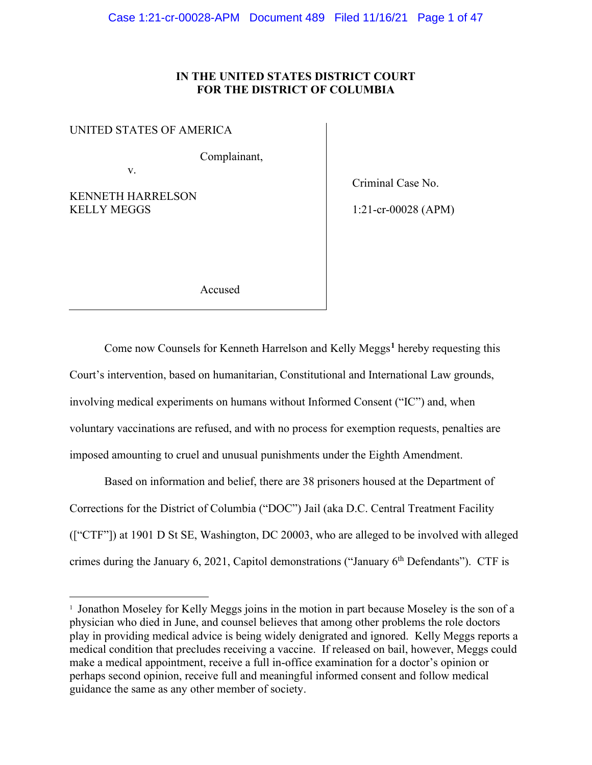# **IN THE UNITED STATES DISTRICT COURT FOR THE DISTRICT OF COLUMBIA**

UNITED STATES OF AMERICA

v.

Complainant,

KENNETH HARRELSON KELLY MEGGS

Criminal Case No.

1:21-cr-00028 (APM)

Accused

Come now Counsels for Kenneth Harrelson and Kelly Meggs**[1](#page-0-0)** hereby requesting this Court's intervention, based on humanitarian, Constitutional and International Law grounds, involving medical experiments on humans without Informed Consent ("IC") and, when voluntary vaccinations are refused, and with no process for exemption requests, penalties are imposed amounting to cruel and unusual punishments under the Eighth Amendment.

Based on information and belief, there are 38 prisoners housed at the Department of Corrections for the District of Columbia ("DOC") Jail (aka D.C. Central Treatment Facility (["CTF"]) at 1901 D St SE, Washington, DC 20003, who are alleged to be involved with alleged crimes during the January 6, 2021, Capitol demonstrations ("January  $6<sup>th</sup>$  Defendants"). CTF is

<span id="page-0-0"></span><sup>&</sup>lt;sup>1</sup> Jonathon Moseley for Kelly Meggs joins in the motion in part because Moseley is the son of a physician who died in June, and counsel believes that among other problems the role doctors play in providing medical advice is being widely denigrated and ignored. Kelly Meggs reports a medical condition that precludes receiving a vaccine. If released on bail, however, Meggs could make a medical appointment, receive a full in-office examination for a doctor's opinion or perhaps second opinion, receive full and meaningful informed consent and follow medical guidance the same as any other member of society.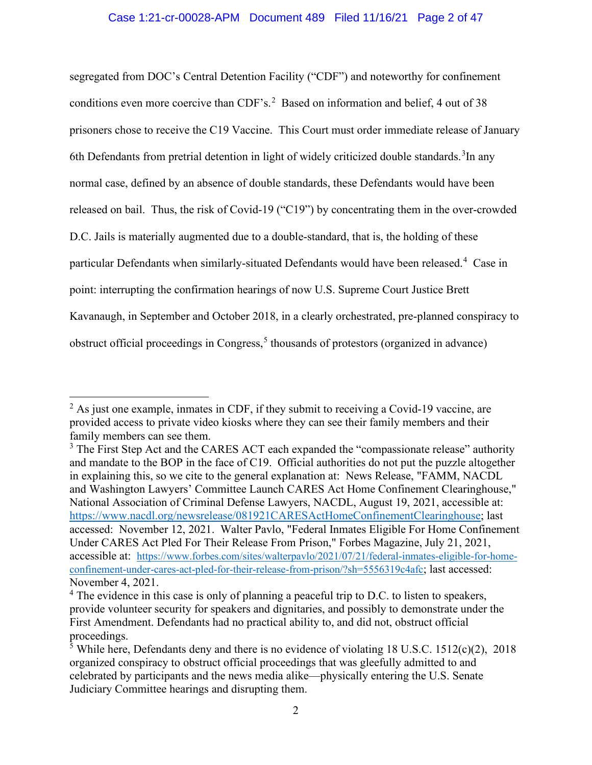segregated from DOC's Central Detention Facility ("CDF") and noteworthy for confinement conditions even more coercive than CDF's.<sup>[2](#page-1-0)</sup> Based on information and belief, 4 out of 38 prisoners chose to receive the C19 Vaccine. This Court must order immediate release of January 6th Defendants from pretrial detention in light of widely criticized double standards.<sup>[3](#page-1-1)</sup>In any normal case, defined by an absence of double standards, these Defendants would have been released on bail. Thus, the risk of Covid-19 ("C19") by concentrating them in the over-crowded D.C. Jails is materially augmented due to a double-standard, that is, the holding of these particular Defendants when similarly-situated Defendants would have been released.<sup>[4](#page-1-2)</sup> Case in point: interrupting the confirmation hearings of now U.S. Supreme Court Justice Brett Kavanaugh, in September and October 2018, in a clearly orchestrated, pre-planned conspiracy to obstruct official proceedings in Congress, [5](#page-1-3) thousands of protestors (organized in advance)

<span id="page-1-0"></span> $<sup>2</sup>$  As just one example, inmates in CDF, if they submit to receiving a Covid-19 vaccine, are</sup> provided access to private video kiosks where they can see their family members and their family members can see them.

<span id="page-1-1"></span> $3$  The First Step Act and the CARES ACT each expanded the "compassionate release" authority and mandate to the BOP in the face of C19. Official authorities do not put the puzzle altogether in explaining this, so we cite to the general explanation at: News Release, "FAMM, NACDL and Washington Lawyers' Committee Launch CARES Act Home Confinement Clearinghouse," National Association of Criminal Defense Lawyers, NACDL, August 19, 2021, accessible at: [https://www.nacdl.org/newsrelease/081921CARESActHomeConfinementClearinghouse;](https://www.nacdl.org/newsrelease/081921CARESActHomeConfinementClearinghouse) last accessed: November 12, 2021. Walter Pavlo, "Federal Inmates Eligible For Home Confinement Under CARES Act Pled For Their Release From Prison," Forbes Magazine, July 21, 2021, accessible at: [https://www.forbes.com/sites/walterpavlo/2021/07/21/federal-inmates-eligible-for-home](https://www.forbes.com/sites/walterpavlo/2021/07/21/federal-inmates-eligible-for-home-confinement-under-cares-act-pled-for-their-release-from-prison/?sh=5556319c4afc)[confinement-under-cares-act-pled-for-their-release-from-prison/?sh=5556319c4afc;](https://www.forbes.com/sites/walterpavlo/2021/07/21/federal-inmates-eligible-for-home-confinement-under-cares-act-pled-for-their-release-from-prison/?sh=5556319c4afc) last accessed: November 4, 2021.

<span id="page-1-2"></span><sup>&</sup>lt;sup>4</sup> The evidence in this case is only of planning a peaceful trip to D.C. to listen to speakers, provide volunteer security for speakers and dignitaries, and possibly to demonstrate under the First Amendment. Defendants had no practical ability to, and did not, obstruct official proceedings.

<span id="page-1-3"></span> $\frac{5}{3}$  While here, Defendants deny and there is no evidence of violating 18 U.S.C. 1512(c)(2), 2018 organized conspiracy to obstruct official proceedings that was gleefully admitted to and celebrated by participants and the news media alike—physically entering the U.S. Senate Judiciary Committee hearings and disrupting them.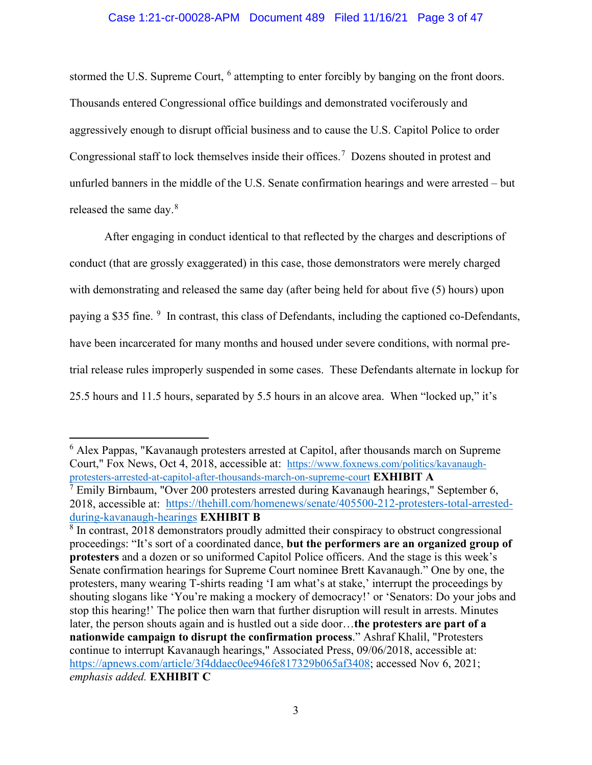#### Case 1:21-cr-00028-APM Document 489 Filed 11/16/21 Page 3 of 47

stormed the U.S. Supreme Court, <sup>[6](#page-2-0)</sup> attempting to enter forcibly by banging on the front doors. Thousands entered Congressional office buildings and demonstrated vociferously and aggressively enough to disrupt official business and to cause the U.S. Capitol Police to order Congressional staff to lock themselves inside their offices.<sup>[7](#page-2-1)</sup> Dozens shouted in protest and unfurled banners in the middle of the U.S. Senate confirmation hearings and were arrested – but released the same day.<sup>[8](#page-2-2)</sup>

After engaging in conduct identical to that reflected by the charges and descriptions of conduct (that are grossly exaggerated) in this case, those demonstrators were merely charged with demonstrating and released the same day (after being held for about five (5) hours) upon paying a \$35 fine. <sup>[9](#page-2-3)</sup> In contrast, this class of Defendants, including the captioned co-Defendants, have been incarcerated for many months and housed under severe conditions, with normal pretrial release rules improperly suspended in some cases. These Defendants alternate in lockup for 25.5 hours and 11.5 hours, separated by 5.5 hours in an alcove area. When "locked up," it's

<span id="page-2-1"></span><span id="page-2-0"></span><sup>6</sup> Alex Pappas, "Kavanaugh protesters arrested at Capitol, after thousands march on Supreme Court," Fox News, Oct 4, 2018, accessible at: [https://www.foxnews.com/politics/kavanaugh](https://www.foxnews.com/politics/kavanaugh-protesters-arrested-at-capitol-after-thousands-march-on-supreme-court)[protesters-arrested-at-capitol-after-thousands-march-on-supreme-court](https://www.foxnews.com/politics/kavanaugh-protesters-arrested-at-capitol-after-thousands-march-on-supreme-court) **EXHIBIT A**  $7$  Emily Birnbaum, "Over 200 protesters arrested during Kavanaugh hearings," September 6, 2018, accessible at: [https://thehill.com/homenews/senate/405500-212-protesters-total-arrested](https://thehill.com/homenews/senate/405500-212-protesters-total-arrested-during-kavanaugh-hearings)[during-kavanaugh-hearings](https://thehill.com/homenews/senate/405500-212-protesters-total-arrested-during-kavanaugh-hearings) **EXHIBIT B**

<span id="page-2-3"></span><span id="page-2-2"></span><sup>&</sup>lt;sup>8</sup> In contrast, 2018 demonstrators proudly admitted their conspiracy to obstruct congressional proceedings: "It's sort of a coordinated dance, **but the performers are an organized group of protesters** and a dozen or so uniformed Capitol Police officers. And the stage is this week's Senate confirmation hearings for Supreme Court nominee Brett Kavanaugh." One by one, the protesters, many wearing T-shirts reading 'I am what's at stake,' interrupt the proceedings by shouting slogans like 'You're making a mockery of democracy!' or 'Senators: Do your jobs and stop this hearing!' The police then warn that further disruption will result in arrests. Minutes later, the person shouts again and is hustled out a side door…**the protesters are part of a nationwide campaign to disrupt the confirmation process**." Ashraf Khalil, "Protesters continue to interrupt Kavanaugh hearings," Associated Press, 09/06/2018, accessible at: [https://apnews.com/article/3f4ddaec0ee946fe817329b065af3408;](https://apnews.com/article/3f4ddaec0ee946fe817329b065af3408) accessed Nov 6, 2021; *emphasis added.* **EXHIBIT C**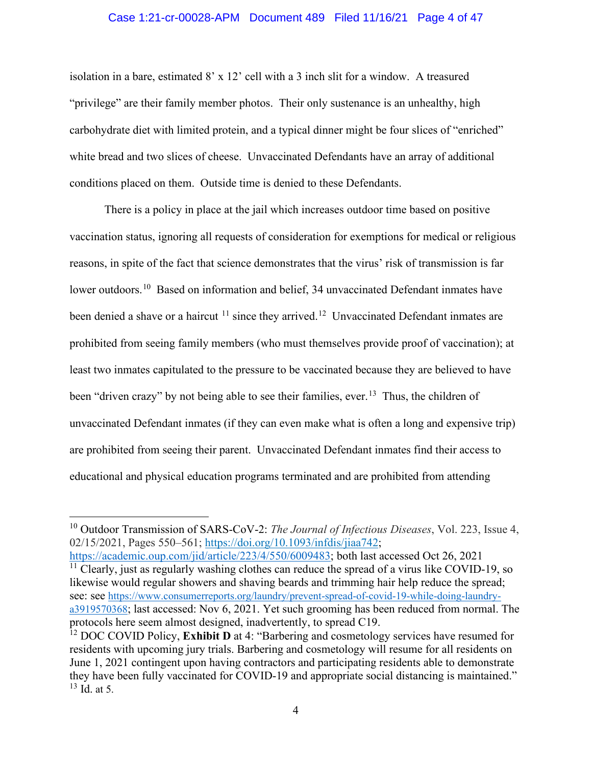#### Case 1:21-cr-00028-APM Document 489 Filed 11/16/21 Page 4 of 47

isolation in a bare, estimated 8' x 12' cell with a 3 inch slit for a window. A treasured "privilege" are their family member photos. Their only sustenance is an unhealthy, high carbohydrate diet with limited protein, and a typical dinner might be four slices of "enriched" white bread and two slices of cheese. Unvaccinated Defendants have an array of additional conditions placed on them. Outside time is denied to these Defendants.

There is a policy in place at the jail which increases outdoor time based on positive vaccination status, ignoring all requests of consideration for exemptions for medical or religious reasons, in spite of the fact that science demonstrates that the virus' risk of transmission is far lower outdoors.<sup>[10](#page-3-0)</sup> Based on information and belief, 34 unvaccinated Defendant inmates have been denied a shave or a haircut <sup>[11](#page-3-1)</sup> since they arrived.<sup>12</sup> Unvaccinated Defendant inmates are prohibited from seeing family members (who must themselves provide proof of vaccination); at least two inmates capitulated to the pressure to be vaccinated because they are believed to have been "driven crazy" by not being able to see their families, ever.<sup>13</sup> Thus, the children of unvaccinated Defendant inmates (if they can even make what is often a long and expensive trip) are prohibited from seeing their parent. Unvaccinated Defendant inmates find their access to educational and physical education programs terminated and are prohibited from attending

<span id="page-3-1"></span>[https://academic.oup.com/jid/article/223/4/550/6009483;](https://academic.oup.com/jid/article/223/4/550/6009483) both last accessed Oct 26, 2021  $11$  Clearly, just as regularly washing clothes can reduce the spread of a virus like COVID-19, so likewise would regular showers and shaving beards and trimming hair help reduce the spread; see: see [https://www.consumerreports.org/laundry/prevent-spread-of-covid-19-while-doing-laundry](https://www.consumerreports.org/laundry/prevent-spread-of-covid-19-while-doing-laundry-a3919570368)[a3919570368;](https://www.consumerreports.org/laundry/prevent-spread-of-covid-19-while-doing-laundry-a3919570368) last accessed: Nov 6, 2021. Yet such grooming has been reduced from normal. The protocols here seem almost designed, inadvertently, to spread C19.

<span id="page-3-0"></span><sup>10</sup> Outdoor Transmission of SARS-CoV-2: *The Journal of Infectious Diseases*, Vol. 223, Issue 4, 02/15/2021, Pages 550–561; [https://doi.org/10.1093/infdis/jiaa742;](https://doi.org/10.1093/infdis/jiaa742)

<span id="page-3-3"></span><span id="page-3-2"></span><sup>&</sup>lt;sup>12</sup> DOC COVID Policy, **Exhibit D** at 4: "Barbering and cosmetology services have resumed for residents with upcoming jury trials. Barbering and cosmetology will resume for all residents on June 1, 2021 contingent upon having contractors and participating residents able to demonstrate they have been fully vaccinated for COVID-19 and appropriate social distancing is maintained."  $^{13}$  Id. at 5.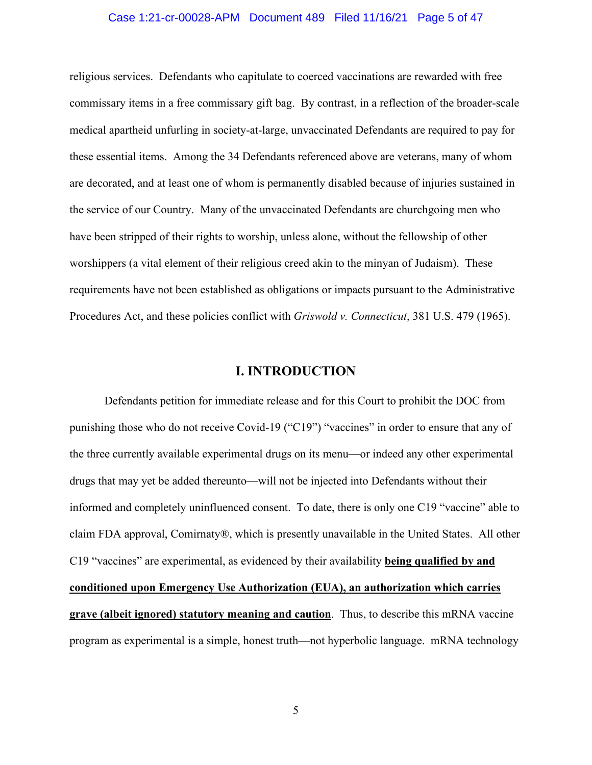#### Case 1:21-cr-00028-APM Document 489 Filed 11/16/21 Page 5 of 47

religious services. Defendants who capitulate to coerced vaccinations are rewarded with free commissary items in a free commissary gift bag. By contrast, in a reflection of the broader-scale medical apartheid unfurling in society-at-large, unvaccinated Defendants are required to pay for these essential items. Among the 34 Defendants referenced above are veterans, many of whom are decorated, and at least one of whom is permanently disabled because of injuries sustained in the service of our Country. Many of the unvaccinated Defendants are churchgoing men who have been stripped of their rights to worship, unless alone, without the fellowship of other worshippers (a vital element of their religious creed akin to the minyan of Judaism). These requirements have not been established as obligations or impacts pursuant to the Administrative Procedures Act, and these policies conflict with *Griswold v. Connecticut*, 381 U.S. 479 (1965).

# **I. INTRODUCTION**

Defendants petition for immediate release and for this Court to prohibit the DOC from punishing those who do not receive Covid-19 ("C19") "vaccines" in order to ensure that any of the three currently available experimental drugs on its menu—or indeed any other experimental drugs that may yet be added thereunto—will not be injected into Defendants without their informed and completely uninfluenced consent. To date, there is only one C19 "vaccine" able to claim FDA approval, Comirnaty®, which is presently unavailable in the United States. All other C19 "vaccines" are experimental, as evidenced by their availability **being qualified by and conditioned upon Emergency Use Authorization (EUA), an authorization which carries grave (albeit ignored) statutory meaning and caution**. Thus, to describe this mRNA vaccine program as experimental is a simple, honest truth—not hyperbolic language. mRNA technology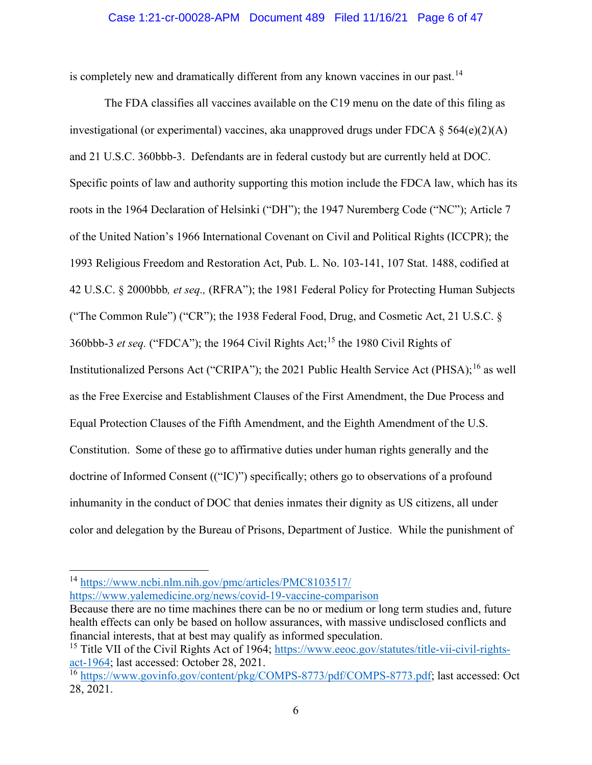#### Case 1:21-cr-00028-APM Document 489 Filed 11/16/21 Page 6 of 47

is completely new and dramatically different from any known vaccines in our past.<sup>[14](#page-5-0)</sup>

The FDA classifies all vaccines available on the C19 menu on the date of this filing as investigational (or experimental) vaccines, aka unapproved drugs under FDCA  $\S$  564(e)(2)(A) and 21 U.S.C. 360bbb-3. Defendants are in federal custody but are currently held at DOC. Specific points of law and authority supporting this motion include the FDCA law, which has its roots in the 1964 Declaration of Helsinki ("DH"); the 1947 Nuremberg Code ("NC"); Article 7 of the United Nation's 1966 International Covenant on Civil and Political Rights (ICCPR); the 1993 Religious Freedom and Restoration Act, Pub. L. No. 103-141, 107 Stat. 1488, codified at 42 U.S.C. § 2000bbb*, et seq.,* (RFRA"); the 1981 Federal Policy for Protecting Human Subjects ("The Common Rule") ("CR"); the 1938 Federal Food, Drug, and Cosmetic Act, 21 U.S.C. § 360bbb-3 *et seq.* ("FDCA"); the 1964 Civil Rights Act;[15](#page-5-1) the 1980 Civil Rights of Institutionalized Persons Act ("CRIPA"); the 2021 Public Health Service Act (PHSA); <sup>[16](#page-5-2)</sup> as well as the Free Exercise and Establishment Clauses of the First Amendment, the Due Process and Equal Protection Clauses of the Fifth Amendment, and the Eighth Amendment of the U.S. Constitution. Some of these go to affirmative duties under human rights generally and the doctrine of Informed Consent (("IC)") specifically; others go to observations of a profound inhumanity in the conduct of DOC that denies inmates their dignity as US citizens, all under color and delegation by the Bureau of Prisons, Department of Justice. While the punishment of

<https://www.yalemedicine.org/news/covid-19-vaccine-comparison>

<span id="page-5-0"></span><sup>14</sup> <https://www.ncbi.nlm.nih.gov/pmc/articles/PMC8103517/>

Because there are no time machines there can be no or medium or long term studies and, future health effects can only be based on hollow assurances, with massive undisclosed conflicts and financial interests, that at best may qualify as informed speculation.

<span id="page-5-1"></span><sup>&</sup>lt;sup>15</sup> Title VII of the Civil Rights Act of 1964; [https://www.eeoc.gov/statutes/title-vii-civil-rights](https://www.eeoc.gov/statutes/title-vii-civil-rights-act-1964)[act-1964;](https://www.eeoc.gov/statutes/title-vii-civil-rights-act-1964) last accessed: October 28, 2021.

<span id="page-5-2"></span><sup>&</sup>lt;sup>16</sup> [https://www.govinfo.gov/content/pkg/COMPS-8773/pdf/COMPS-8773.pdf;](https://www.govinfo.gov/content/pkg/COMPS-8773/pdf/COMPS-8773.pdf) last accessed: Oct 28, 2021.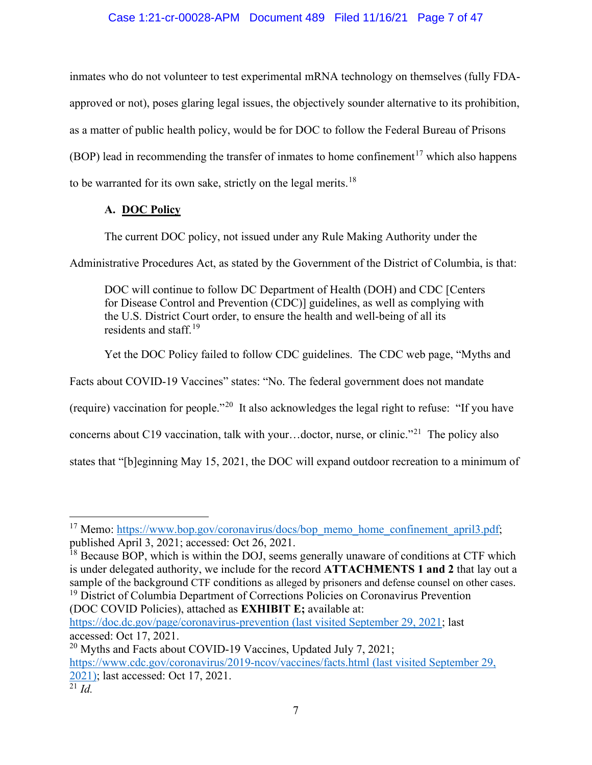# Case 1:21-cr-00028-APM Document 489 Filed 11/16/21 Page 7 of 47

inmates who do not volunteer to test experimental mRNA technology on themselves (fully FDAapproved or not), poses glaring legal issues, the objectively sounder alternative to its prohibition, as a matter of public health policy, would be for DOC to follow the Federal Bureau of Prisons (BOP) lead in recommending the transfer of inmates to home confinement<sup>[17](#page-6-0)</sup> which also happens to be warranted for its own sake, strictly on the legal merits.<sup>[18](#page-6-1)</sup>

# **A. DOC Policy**

The current DOC policy, not issued under any Rule Making Authority under the

Administrative Procedures Act, as stated by the Government of the District of Columbia, is that:

DOC will continue to follow DC Department of Health (DOH) and CDC [Centers for Disease Control and Prevention (CDC)] guidelines, as well as complying with the U.S. District Court order, to ensure the health and well-being of all its residents and staff.<sup>[19](#page-6-2)</sup>

Yet the DOC Policy failed to follow CDC guidelines. The CDC web page, "Myths and

Facts about COVID-19 Vaccines" states: "No. The federal government does not mandate

(require) vaccination for people."[20](#page-6-3) It also acknowledges the legal right to refuse: "If you have

concerns about C19 vaccination, talk with your...doctor, nurse, or clinic."<sup>[21](#page-6-4)</sup> The policy also

states that "[b]eginning May 15, 2021, the DOC will expand outdoor recreation to a minimum of

<span id="page-6-2"></span>(DOC COVID Policies), attached as **EXHIBIT E;** available at:

<https://doc.dc.gov/page/coronavirus-prevention> (last visited September 29, 2021; last accessed: Oct 17, 2021.

<span id="page-6-4"></span><span id="page-6-3"></span><sup>20</sup> Myths and Facts about COVID-19 Vaccines, Updated July 7, 2021; <https://www.cdc.gov/coronavirus/2019-ncov/vaccines/facts.html> (last visited September 29, 2021); last accessed: Oct 17, 2021.  $\frac{20}{21}$  *[Id.](https://www.cdc.gov/coronavirus/2019-ncov/vaccines/safety/myocarditis.html)* 

<span id="page-6-0"></span><sup>&</sup>lt;sup>17</sup> Memo: [https://www.bop.gov/coronavirus/docs/bop\\_memo\\_home\\_confinement\\_april3.pdf;](https://www.bop.gov/coronavirus/docs/bop_memo_home_confinement_april3.pdf) published April 3, 2021; accessed: Oct 26, 2021.

<span id="page-6-1"></span> $^{18}$  Because BOP, which is within the DOJ, seems generally unaware of conditions at CTF which is under delegated authority, we include for the record **ATTACHMENTS 1 and 2** that lay out a sample of the background CTF conditions as alleged by prisoners and defense counsel on other cases.<br><sup>19</sup> District of Columbia Department of Corrections Policies on Coronavirus Prevention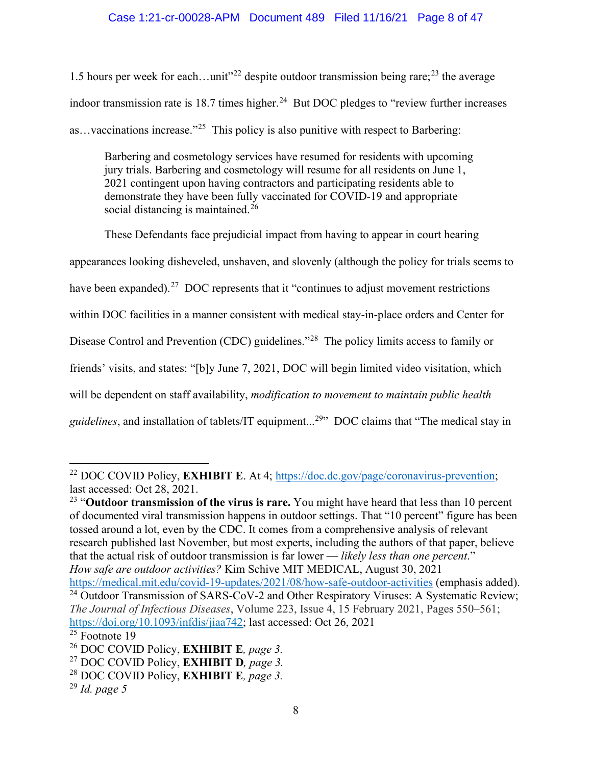1.5 hours per week for each...unit"<sup>[22](#page-7-0)</sup> despite outdoor transmission being rare;<sup>[23](#page-7-1)</sup> the average indoor transmission rate is 18.7 times higher.<sup>[24](#page-7-2)</sup> But DOC pledges to "review further increases" as…vaccinations increase."[25](#page-7-3) This policy is also punitive with respect to Barbering:

Barbering and cosmetology services have resumed for residents with upcoming jury trials. Barbering and cosmetology will resume for all residents on June 1, 2021 contingent upon having contractors and participating residents able to demonstrate they have been fully vaccinated for COVID-19 and appropriate social distancing is maintained.<sup>[26](#page-7-4)</sup>

These Defendants face prejudicial impact from having to appear in court hearing

appearances looking disheveled, unshaven, and slovenly (although the policy for trials seems to

have been expanded).<sup>[27](#page-7-5)</sup> DOC represents that it "continues to adjust movement restrictions

within DOC facilities in a manner consistent with medical stay-in-place orders and Center for

Disease Control and Prevention (CDC) guidelines."<sup>[28](#page-7-6)</sup> The policy limits access to family or

friends' visits, and states: "[b]y June 7, 2021, DOC will begin limited video visitation, which

will be dependent on staff availability, *modification to movement to maintain public health* 

guidelines, and installation of tablets/IT equipment...<sup>[29](#page-7-7)</sup>" DOC claims that "The medical stay in

<span id="page-7-1"></span><sup>23</sup> "**Outdoor transmission of the virus is rare.** You might have heard that less than 10 percent of documented viral transmission happens in outdoor settings. That "10 percent" figure has been tossed around a lot, [even by the CDC.](https://www.whitehouse.gov/briefing-room/press-briefings/2021/04/27/press-briefing-by-white-house-covid-19-response-team-and-public-health-officials-32/) It comes from a comprehensive [analysis](https://academic.oup.com/jid/article/223/4/550/6009483) of relevant research published last November, but most experts, [including the authors of that paper,](https://academic.oup.com/jid/advance-article/doi/10.1093/infdis/jiab298/6291889) believe that the actual risk of outdoor transmission is far lower — *likely [less than one percent](https://academic.oup.com/jid/advance-article/doi/10.1093/infdis/jiab298/6291889)*." *How safe are outdoor activities?* Kim Schive MIT MEDICAL, August 30, 2021 <https://medical.mit.edu/covid-19-updates/2021/08/how-safe-outdoor-activities> (emphasis added).

<span id="page-7-2"></span><sup>24</sup> Outdoor Transmission of SARS-CoV-2 and Other Respiratory Viruses: A Systematic Review; *The Journal of Infectious Diseases*, Volume 223, Issue 4, 15 February 2021, Pages 550–561; [https://doi.org/10.1093/infdis/jiaa742;](https://doi.org/10.1093/infdis/jiaa742) last accessed: Oct 26, 2021

<span id="page-7-0"></span><sup>22</sup> DOC COVID Policy, **EXHIBIT E**. At 4; [https://doc.dc.gov/page/coronavirus-prevention;](https://doc.dc.gov/page/coronavirus-prevention) last accessed: Oct 28, 2021.

<span id="page-7-3"></span> $25$  Footnote 19

<span id="page-7-4"></span><sup>26</sup> DOC COVID Policy, **EXHIBIT E***, page 3.*

<span id="page-7-5"></span><sup>27</sup> DOC COVID Policy, **EXHIBIT D***, page 3.*

<span id="page-7-6"></span><sup>28</sup> DOC COVID Policy, **EXHIBIT E***, page 3.*

<span id="page-7-7"></span><sup>29</sup> *Id. page 5*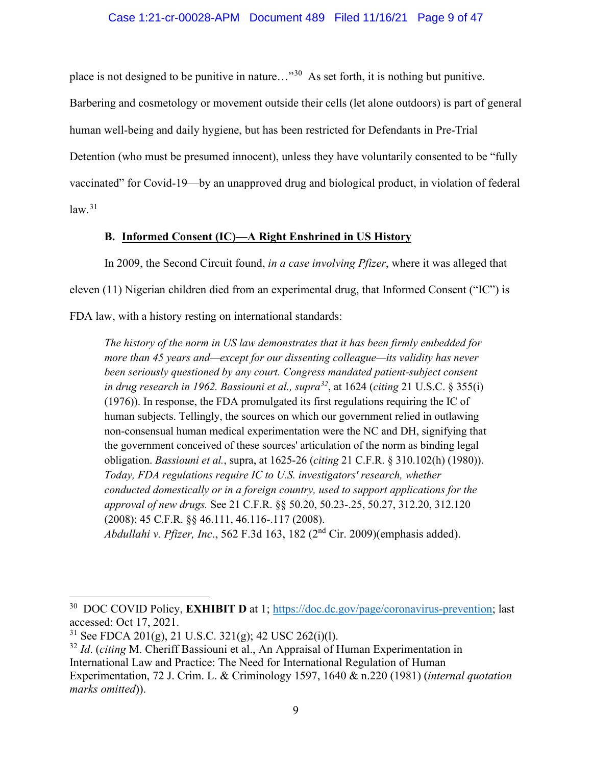place is not designed to be punitive in nature..."<sup>[30](#page-8-0)</sup> As set forth, it is nothing but punitive.

Barbering and cosmetology or movement outside their cells (let alone outdoors) is part of general human well-being and daily hygiene, but has been restricted for Defendants in Pre-Trial Detention (who must be presumed innocent), unless they have voluntarily consented to be "fully vaccinated" for Covid-19—by an unapproved drug and biological product, in violation of federal  $law.<sup>31</sup>$  $law.<sup>31</sup>$  $law.<sup>31</sup>$ 

# **B. Informed Consent (IC)—A Right Enshrined in US History**

In 2009, the Second Circuit found, *in a case involving Pfizer*, where it was alleged that eleven (11) Nigerian children died from an experimental drug, that Informed Consent ("IC") is FDA law, with a history resting on international standards:

*The history of the norm in US law demonstrates that it has been firmly embedded for more than 45 years and—except for our dissenting colleague—its validity has never been seriously questioned by any court. Congress mandated patient-subject consent in drug research in 1962. Bassiouni et al., supra[32](#page-8-2)*, at 1624 (*citing* 21 U.S.C. § 355(i) (1976)). In response, the FDA promulgated its first regulations requiring the IC of human subjects. Tellingly, the sources on which our government relied in outlawing non-consensual human medical experimentation were the NC and DH, signifying that the government conceived of these sources' articulation of the norm as binding legal obligation. *Bassiouni et al.*, supra, at 1625-26 (*citing* 21 C.F.R. § 310.102(h) (1980)). *Today, FDA regulations require IC to U.S. investigators' research, whether conducted domestically or in a foreign country, used to support applications for the approval of new drugs.* See 21 C.F.R. §§ 50.20, 50.23-.25, 50.27, 312.20, 312.120 (2008); 45 C.F.R. §§ 46.111, 46.116-.117 (2008). *Abdullahi v. Pfizer, Inc*., 562 F.3d 163, 182 (2nd Cir. 2009)(emphasis added).

<span id="page-8-0"></span><sup>30</sup> DOC COVID Policy, **EXHIBIT D** at 1; [https://doc.dc.gov/page/coronavirus-prevention;](https://doc.dc.gov/page/coronavirus-prevention) last accessed: Oct 17, 2021.

<span id="page-8-1"></span><sup>&</sup>lt;sup>31</sup> See FDCA 201(g), 21 U.S.C. 321(g); 42 USC 262(i)(l).

<span id="page-8-2"></span><sup>32</sup> *Id*. (*citing* M. Cheriff Bassiouni et al., An Appraisal of Human Experimentation in International Law and Practice: The Need for International Regulation of Human Experimentation, 72 J. Crim. L. & Criminology 1597, 1640 & n.220 (1981) (*internal quotation marks omitted*)).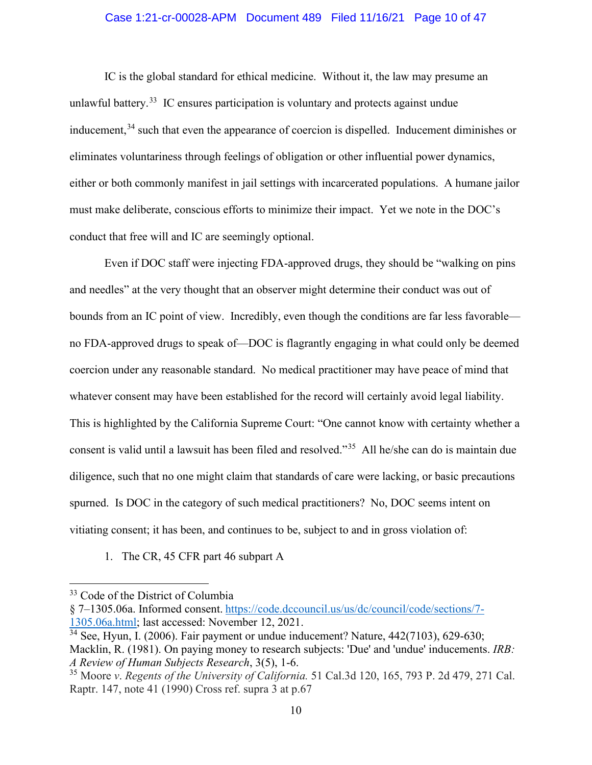#### Case 1:21-cr-00028-APM Document 489 Filed 11/16/21 Page 10 of 47

IC is the global standard for ethical medicine. Without it, the law may presume an unlawful battery.<sup>33</sup> IC ensures participation is voluntary and protects against undue inducement,<sup>[34](#page-9-1)</sup> such that even the appearance of coercion is dispelled. Inducement diminishes or eliminates voluntariness through feelings of obligation or other influential power dynamics, either or both commonly manifest in jail settings with incarcerated populations. A humane jailor must make deliberate, conscious efforts to minimize their impact. Yet we note in the DOC's conduct that free will and IC are seemingly optional.

Even if DOC staff were injecting FDA-approved drugs, they should be "walking on pins and needles" at the very thought that an observer might determine their conduct was out of bounds from an IC point of view. Incredibly, even though the conditions are far less favorable no FDA-approved drugs to speak of—DOC is flagrantly engaging in what could only be deemed coercion under any reasonable standard. No medical practitioner may have peace of mind that whatever consent may have been established for the record will certainly avoid legal liability. This is highlighted by the California Supreme Court: "One cannot know with certainty whether a consent is valid until a lawsuit has been filed and resolved."[35](#page-9-2) All he/she can do is maintain due diligence, such that no one might claim that standards of care were lacking, or basic precautions spurned. Is DOC in the category of such medical practitioners? No, DOC seems intent on vitiating consent; it has been, and continues to be, subject to and in gross violation of:

1. The CR, 45 CFR part 46 subpart A

<span id="page-9-0"></span><sup>&</sup>lt;sup>33</sup> Code of the District of Columbia

<sup>§ 7–1305.06</sup>a. Informed consent. [https://code.dccouncil.us/us/dc/council/code/sections/7-](https://code.dccouncil.us/us/dc/council/code/sections/7-1305.06a.html) [1305.06a.html;](https://code.dccouncil.us/us/dc/council/code/sections/7-1305.06a.html) last accessed: November 12, 2021.

<span id="page-9-1"></span> $34$  See, Hyun, I. (2006). Fair payment or undue inducement? Nature,  $442(7103)$ , 629-630; Macklin, R. (1981). On paying money to research subjects: 'Due' and 'undue' inducements. *IRB: A Review of Human Subjects Research*, 3(5), 1-6.

<span id="page-9-2"></span><sup>35</sup> Moore *v*. *Regents of the University of California.* 51 Cal.3d 120, 165, 793 P. 2d 479, 271 Cal. Raptr. 147, note 41 (1990) Cross ref. supra 3 at p.67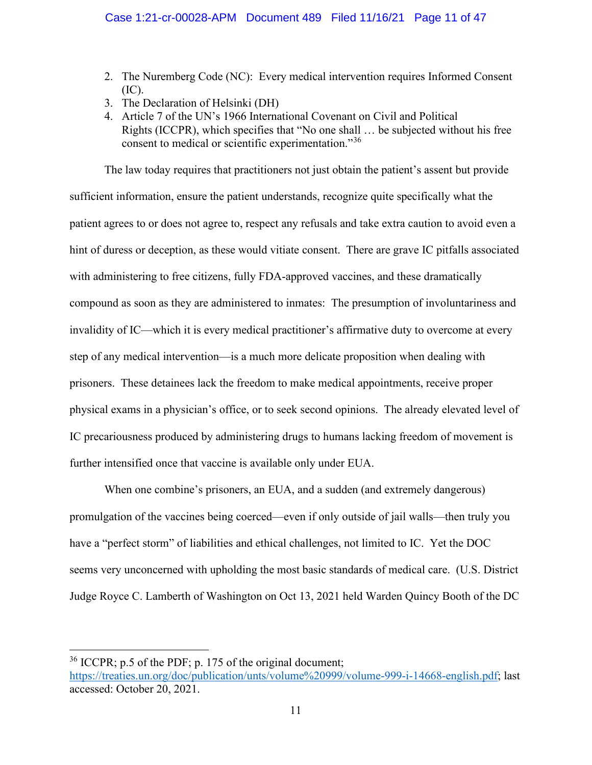- 2. The Nuremberg Code (NC): Every medical intervention requires Informed Consent (IC).
- 3. The Declaration of Helsinki (DH)
- 4. Article 7 of the UN's 1966 International Covenant on Civil and Political Rights (ICCPR), which specifies that "No one shall … be subjected without his free consent to medical or scientific experimentation."[36](#page-10-0)

The law today requires that practitioners not just obtain the patient's assent but provide sufficient information, ensure the patient understands, recognize quite specifically what the patient agrees to or does not agree to, respect any refusals and take extra caution to avoid even a hint of duress or deception, as these would vitiate consent. There are grave IC pitfalls associated with administering to free citizens, fully FDA-approved vaccines, and these dramatically compound as soon as they are administered to inmates: The presumption of involuntariness and invalidity of IC—which it is every medical practitioner's affirmative duty to overcome at every step of any medical intervention—is a much more delicate proposition when dealing with prisoners. These detainees lack the freedom to make medical appointments, receive proper physical exams in a physician's office, or to seek second opinions. The already elevated level of IC precariousness produced by administering drugs to humans lacking freedom of movement is further intensified once that vaccine is available only under EUA.

When one combine's prisoners, an EUA, and a sudden (and extremely dangerous) promulgation of the vaccines being coerced—even if only outside of jail walls—then truly you have a "perfect storm" of liabilities and ethical challenges, not limited to IC. Yet the DOC seems very unconcerned with upholding the most basic standards of medical care. (U.S. District Judge Royce C. Lamberth of Washington on Oct 13, 2021 held Warden Quincy Booth of the DC

<span id="page-10-0"></span> $36$  ICCPR; p.5 of the PDF; p. 175 of the original document;

[https://treaties.un.org/doc/publication/unts/volume%20999/volume-999-i-14668-english.pdf;](https://treaties.un.org/doc/publication/unts/volume%20999/volume-999-i-14668-english.pdf) last accessed: October 20, 2021.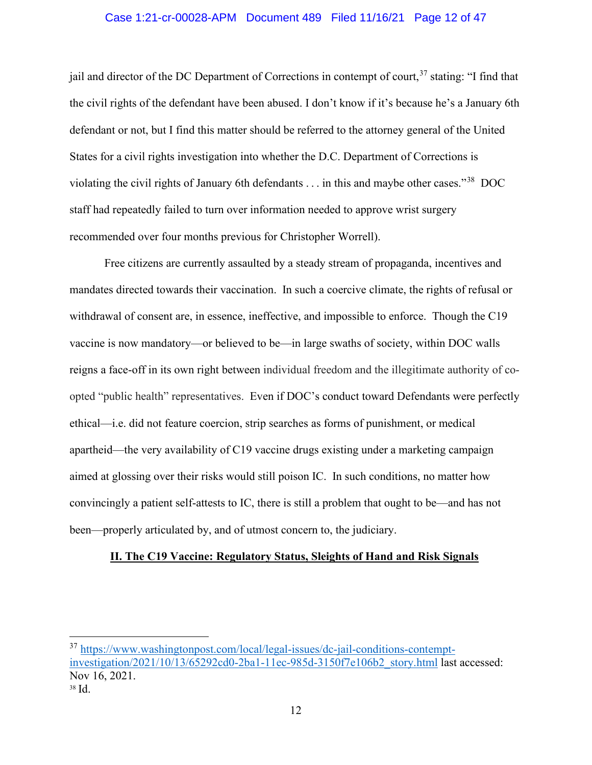#### Case 1:21-cr-00028-APM Document 489 Filed 11/16/21 Page 12 of 47

jail and director of the DC Department of Corrections in contempt of court,<sup>[37](#page-11-0)</sup> stating: "I find that the civil rights of the defendant have been abused. I don't know if it's because he's a January 6th defendant or not, but I find this matter should be referred to the attorney general of the United States for a civil rights investigation into whether the D.C. Department of Corrections is violating the civil rights of January 6th defendants . . . in this and maybe other cases."[38](#page-11-1) DOC staff had repeatedly failed to turn over information needed to approve wrist surgery recommended over four months previous for Christopher Worrell).

Free citizens are currently assaulted by a steady stream of propaganda, incentives and mandates directed towards their vaccination. In such a coercive climate, the rights of refusal or withdrawal of consent are, in essence, ineffective, and impossible to enforce. Though the C19 vaccine is now mandatory—or believed to be—in large swaths of society, within DOC walls reigns a face-off in its own right between individual freedom and the illegitimate authority of coopted "public health" representatives. Even if DOC's conduct toward Defendants were perfectly ethical—i.e. did not feature coercion, strip searches as forms of punishment, or medical apartheid—the very availability of C19 vaccine drugs existing under a marketing campaign aimed at glossing over their risks would still poison IC. In such conditions, no matter how convincingly a patient self-attests to IC, there is still a problem that ought to be—and has not been—properly articulated by, and of utmost concern to, the judiciary.

#### **II. The C19 Vaccine: Regulatory Status, Sleights of Hand and Risk Signals**

<span id="page-11-1"></span><span id="page-11-0"></span><sup>37</sup> [https://www.washingtonpost.com/local/legal-issues/dc-jail-conditions-contempt](https://www.washingtonpost.com/local/legal-issues/dc-jail-conditions-contempt-investigation/2021/10/13/65292cd0-2ba1-11ec-985d-3150f7e106b2_story.html)[investigation/2021/10/13/65292cd0-2ba1-11ec-985d-3150f7e106b2\\_story.html](https://www.washingtonpost.com/local/legal-issues/dc-jail-conditions-contempt-investigation/2021/10/13/65292cd0-2ba1-11ec-985d-3150f7e106b2_story.html) last accessed: Nov 16, 2021. <sup>38</sup> Id.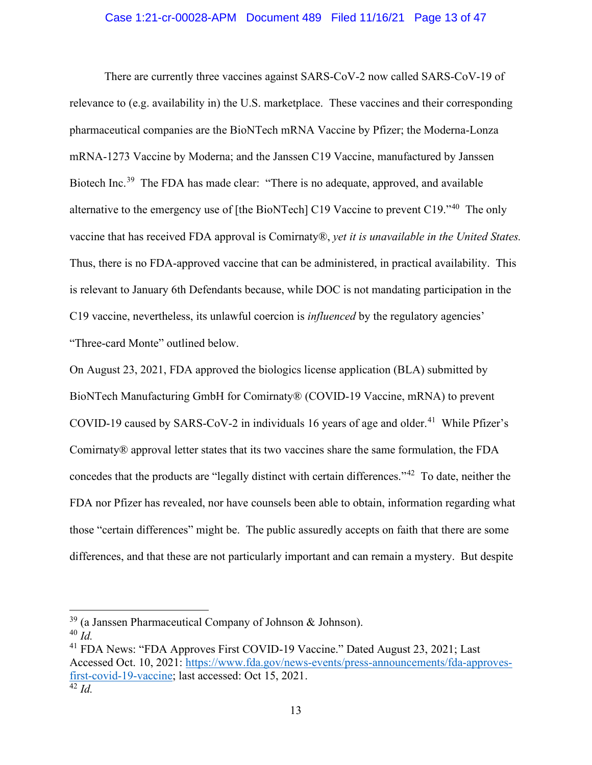#### Case 1:21-cr-00028-APM Document 489 Filed 11/16/21 Page 13 of 47

There are currently three vaccines against SARS-CoV-2 now called SARS-CoV-19 of relevance to (e.g. availability in) the U.S. marketplace. These vaccines and their corresponding pharmaceutical companies are the BioNTech mRNA Vaccine by Pfizer; the Moderna-Lonza mRNA-1273 Vaccine by Moderna; and the Janssen C19 Vaccine, manufactured by Janssen Biotech Inc.<sup>[39](#page-12-0)</sup> The FDA has made clear: "There is no adequate, approved, and available alternative to the emergency use of [the BioNTech] C19 Vaccine to prevent C19."[40](#page-12-1) The only vaccine that has received FDA approval is Comirnaty®, *yet it is unavailable in the United States.* Thus, there is no FDA-approved vaccine that can be administered, in practical availability. This is relevant to January 6th Defendants because, while DOC is not mandating participation in the C19 vaccine, nevertheless, its unlawful coercion is *influenced* by the regulatory agencies' "Three-card Monte" outlined below.

On August 23, 2021, FDA approved the biologics license application (BLA) submitted by BioNTech Manufacturing GmbH for Comirnaty® (COVID-19 Vaccine, mRNA) to prevent COVID-19 caused by SARS-CoV-2 in individuals 16 years of age and older.<sup>41</sup> While Pfizer's Comirnaty® approval letter states that its two vaccines share the same formulation, the FDA concedes that the products are "legally distinct with certain differences."[42](#page-12-3) To date, neither the FDA nor Pfizer has revealed, nor have counsels been able to obtain, information regarding what those "certain differences" might be. The public assuredly accepts on faith that there are some differences, and that these are not particularly important and can remain a mystery. But despite

<span id="page-12-0"></span> $39$  (a Janssen Pharmaceutical Company of Johnson & Johnson).

<span id="page-12-1"></span><sup>40</sup> *Id.*

<span id="page-12-3"></span><span id="page-12-2"></span><sup>41</sup> FDA News: "FDA Approves First COVID-19 Vaccine." Dated August 23, 2021; Last Accessed Oct. 10, 2021: [https://www.fda.gov/news-events/press-announcements/fda-approves](https://www.fda.gov/news-events/press-announcements/fda-approves-first-covid-19-vaccine)[first-covid-19-vaccine;](https://www.fda.gov/news-events/press-announcements/fda-approves-first-covid-19-vaccine) last accessed: Oct 15, 2021.  $\overline{42}$  *Id*.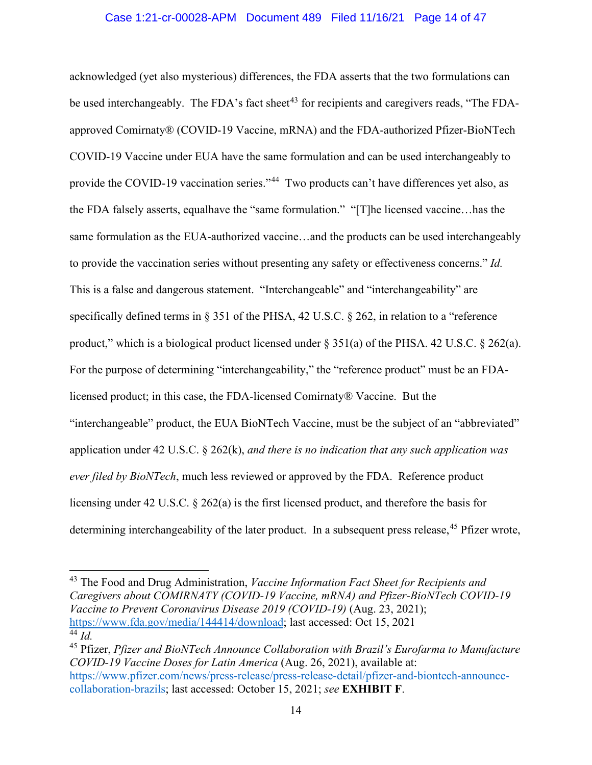#### Case 1:21-cr-00028-APM Document 489 Filed 11/16/21 Page 14 of 47

acknowledged (yet also mysterious) differences, the FDA asserts that the two formulations can be used interchangeably. The FDA's fact sheet<sup>[43](#page-13-0)</sup> for recipients and caregivers reads, "The FDAapproved Comirnaty® (COVID-19 Vaccine, mRNA) and the FDA-authorized Pfizer-BioNTech COVID-19 Vaccine under EUA have the same formulation and can be used interchangeably to provide the COVID-19 vaccination series."<sup>44</sup> Two products can't have differences yet also, as the FDA falsely asserts, equalhave the "same formulation." "[T]he licensed vaccine…has the same formulation as the EUA-authorized vaccine…and the products can be used interchangeably to provide the vaccination series without presenting any safety or effectiveness concerns." *Id.*  This is a false and dangerous statement. "Interchangeable" and "interchangeability" are specifically defined terms in § 351 of the PHSA, 42 U.S.C. § 262, in relation to a "reference" product," which is a biological product licensed under § 351(a) of the PHSA. 42 U.S.C. § 262(a). For the purpose of determining "interchangeability," the "reference product" must be an FDAlicensed product; in this case, the FDA-licensed Comirnaty® Vaccine. But the "interchangeable" product, the EUA BioNTech Vaccine, must be the subject of an "abbreviated" application under 42 U.S.C. § 262(k), *and there is no indication that any such application was ever filed by BioNTech*, much less reviewed or approved by the FDA. Reference product licensing under 42 U.S.C. § 262(a) is the first licensed product, and therefore the basis for determining interchangeability of the later product. In a subsequent press release,<sup>[45](#page-13-2)</sup> Pfizer wrote,

<span id="page-13-0"></span><sup>43</sup> The Food and Drug Administration, *Vaccine Information Fact Sheet for Recipients and Caregivers about COMIRNATY (COVID-19 Vaccine, mRNA) and Pfizer-BioNTech COVID-19 Vaccine to Prevent Coronavirus Disease 2019 (COVID-19)* (Aug. 23, 2021); [https://www.fda.gov/media/144414/download;](https://www.fda.gov/media/144414/download) last accessed: Oct 15, 2021  $44 \overline{Id}$ 

<span id="page-13-2"></span><span id="page-13-1"></span><sup>45</sup> Pfizer, *Pfizer and BioNTech Announce Collaboration with Brazil's Eurofarma to Manufacture COVID-19 Vaccine Doses for Latin America* (Aug. 26, 2021), available at: https://www.pfizer.com/news/press-release/press-release-detail/pfizer-and-biontech-announcecollaboration-brazils; last accessed: October 15, 2021; *see* **EXHIBIT F**.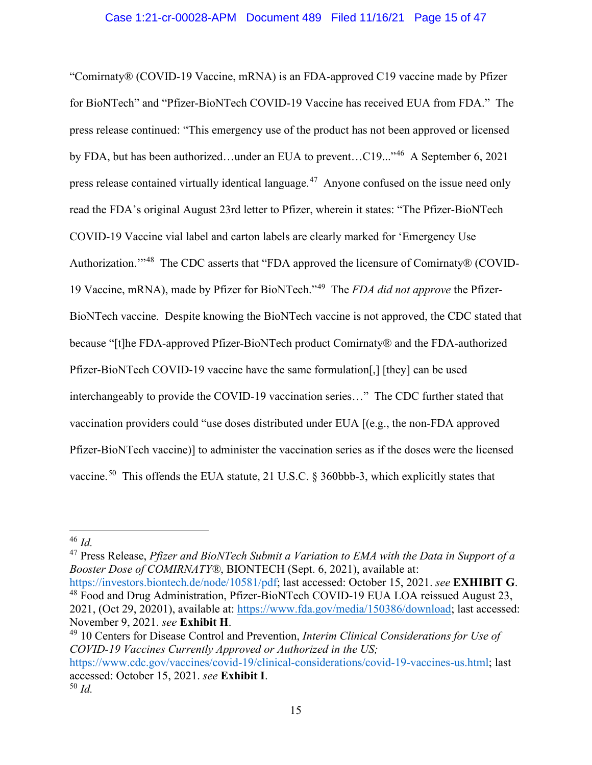"Comirnaty® (COVID-19 Vaccine, mRNA) is an FDA-approved C19 vaccine made by Pfizer for BioNTech" and "Pfizer-BioNTech COVID-19 Vaccine has received EUA from FDA." The press release continued: "This emergency use of the product has not been approved or licensed by FDA, but has been authorized…under an EUA to prevent…C19..."[46](#page-14-0) A September 6, 2021 press release contained virtually identical language.[47](#page-14-1) Anyone confused on the issue need only read the FDA's original August 23rd letter to Pfizer, wherein it states: "The Pfizer-BioNTech COVID-19 Vaccine vial label and carton labels are clearly marked for 'Emergency Use Authorization."<sup>48</sup> The CDC asserts that "FDA approved the licensure of Comirnaty® (COVID-19 Vaccine, mRNA), made by Pfizer for BioNTech."[49](#page-14-3) The *FDA did not approve* the Pfizer-BioNTech vaccine. Despite knowing the BioNTech vaccine is not approved, the CDC stated that because "[t]he FDA-approved Pfizer-BioNTech product Comirnaty® and the FDA-authorized Pfizer-BioNTech COVID-19 vaccine have the same formulation[,] [they] can be used interchangeably to provide the COVID-19 vaccination series…" The CDC further stated that vaccination providers could "use doses distributed under EUA [(e.g., the non-FDA approved Pfizer-BioNTech vaccine)] to administer the vaccination series as if the doses were the licensed vaccine.<sup>[50](#page-14-4)</sup> This offends the EUA statute, 21 U.S.C.  $\S$  360bbb-3, which explicitly states that

<span id="page-14-1"></span><sup>47</sup> Press Release, *Pfizer and BioNTech Submit a Variation to EMA with the Data in Support of a Booster Dose of COMIRNATY®*, BIONTECH (Sept. 6, 2021), available at: https://investors.biontech.de/node/10581/pdf; last accessed: October 15, 2021. *see* **EXHIBIT G**. <sup>48</sup> Food and Drug Administration, Pfizer-BioNTech COVID-19 EUA LOA reissued August 23,

<span id="page-14-3"></span><sup>49</sup> 10 Centers for Disease Control and Prevention, *Interim Clinical Considerations for Use of COVID-19 Vaccines Currently Approved or Authorized in the US;* 

<span id="page-14-0"></span><sup>46</sup> *Id.*

<span id="page-14-2"></span><sup>2021, (</sup>Oct 29, 20201), available at: [https://www.fda.gov/media/150386/download;](https://www.fda.gov/media/150386/download) last accessed: November 9, 2021. *see* **Exhibit H**.

<span id="page-14-4"></span>https://www.cdc.gov/vaccines/covid-19/clinical-considerations/covid-19-vaccines-us.html; last accessed: October 15, 2021. *see* **Exhibit I**. <sup>50</sup> *Id.*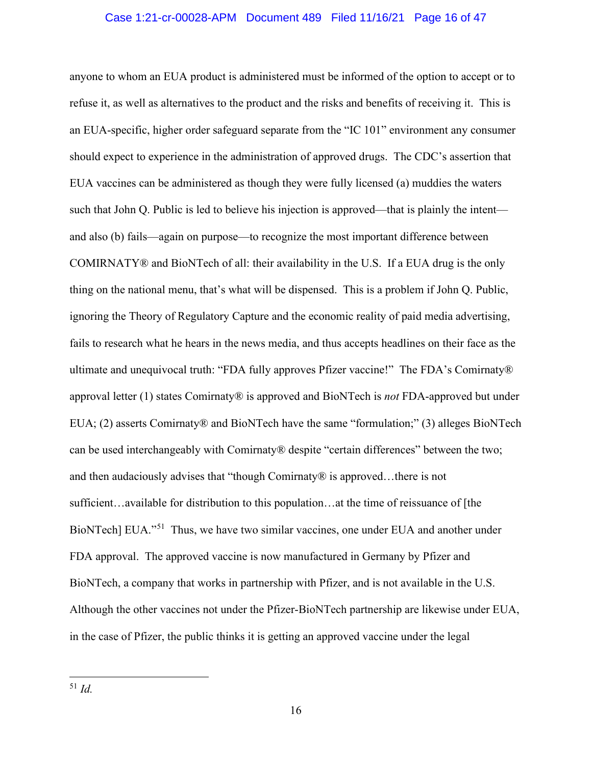#### Case 1:21-cr-00028-APM Document 489 Filed 11/16/21 Page 16 of 47

<span id="page-15-0"></span>anyone to whom an EUA product is administered must be informed of the option to accept or to refuse it, as well as alternatives to the product and the risks and benefits of receiving it. This is an EUA-specific, higher order safeguard separate from the "IC 101" environment any consumer should expect to experience in the administration of approved drugs. The CDC's assertion that EUA vaccines can be administered as though they were fully licensed (a) muddies the waters such that John Q. Public is led to believe his injection is approved—that is plainly the intent and also (b) fails—again on purpose—to recognize the most important difference between COMIRNATY® and BioNTech of all: their availability in the U.S. If a EUA drug is the only thing on the national menu, that's what will be dispensed. This is a problem if John Q. Public, ignoring the Theory of Regulatory Capture and the economic reality of paid media advertising, fails to research what he hears in the news media, and thus accepts headlines on their face as the ultimate and unequivocal truth: "FDA fully approves Pfizer vaccine!" The FDA's Comirnaty® approval letter (1) states Comirnaty® is approved and BioNTech is *not* FDA-approved but under EUA; (2) asserts Comirnaty® and BioNTech have the same "formulation;" (3) alleges BioNTech can be used interchangeably with Comirnaty® despite "certain differences" between the two; and then audaciously advises that "though Comirnaty® is approved…there is not sufficient…available for distribution to this population…at the time of reissuance of [the BioNTech] EUA."<sup>51</sup> Thus, we have two similar vaccines, one under EUA and another under FDA approval. The approved vaccine is now manufactured in Germany by Pfizer and BioNTech, a company that works in partnership with Pfizer, and is not available in the U.S. Although the other vaccines not under the Pfizer-BioNTech partnership are likewise under EUA, in the case of Pfizer, the public thinks it is getting an approved vaccine under the legal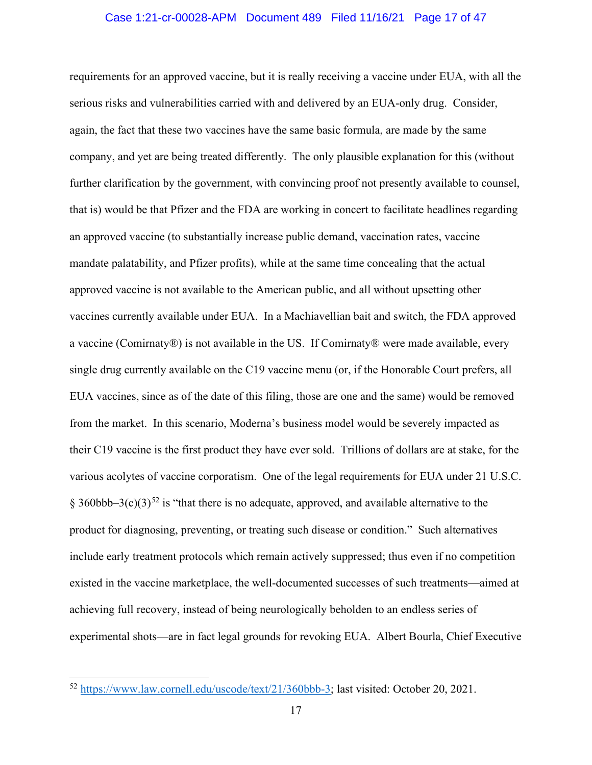#### Case 1:21-cr-00028-APM Document 489 Filed 11/16/21 Page 17 of 47

requirements for an approved vaccine, but it is really receiving a vaccine under EUA, with all the serious risks and vulnerabilities carried with and delivered by an EUA-only drug. Consider, again, the fact that these two vaccines have the same basic formula, are made by the same company, and yet are being treated differently. The only plausible explanation for this (without further clarification by the government, with convincing proof not presently available to counsel, that is) would be that Pfizer and the FDA are working in concert to facilitate headlines regarding an approved vaccine (to substantially increase public demand, vaccination rates, vaccine mandate palatability, and Pfizer profits), while at the same time concealing that the actual approved vaccine is not available to the American public, and all without upsetting other vaccines currently available under EUA. In a Machiavellian bait and switch, the FDA approved a vaccine (Comirnaty®) is not available in the US. If Comirnaty® were made available, every single drug currently available on the C19 vaccine menu (or, if the Honorable Court prefers, all EUA vaccines, since as of the date of this filing, those are one and the same) would be removed from the market. In this scenario, Moderna's business model would be severely impacted as their C19 vaccine is the first product they have ever sold. Trillions of dollars are at stake, for the various acolytes of vaccine corporatism. One of the legal requirements for EUA under 21 U.S.C. § 360bbb–3(c)(3)<sup>[52](#page-16-0)</sup> is "that there is no adequate, approved, and available alternative to the product for diagnosing, preventing, or treating such disease or condition." Such alternatives include early treatment protocols which remain actively suppressed; thus even if no competition existed in the vaccine marketplace, the well-documented successes of such treatments—aimed at achieving full recovery, instead of being neurologically beholden to an endless series of experimental shots—are in fact legal grounds for revoking EUA. Albert Bourla, Chief Executive

<span id="page-16-0"></span><sup>52</sup> [https://www.law.cornell.edu/uscode/text/21/360bbb-3;](https://www.law.cornell.edu/uscode/text/21/360bbb-3) last visited: October 20, 2021.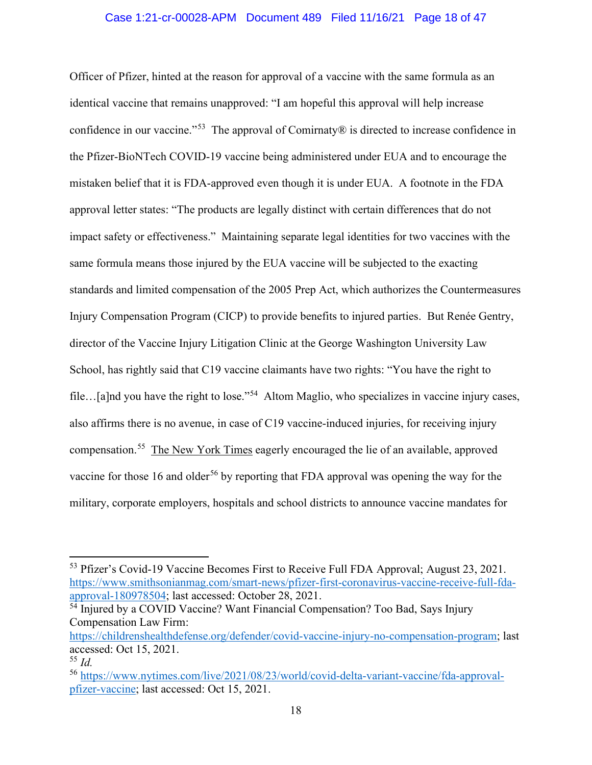#### Case 1:21-cr-00028-APM Document 489 Filed 11/16/21 Page 18 of 47

Officer of Pfizer, hinted at the reason for approval of a vaccine with the same formula as an identical vaccine that remains unapproved: "I am hopeful this approval will help increase confidence in our vaccine."[53](#page-17-0) The approval of Comirnaty® is directed to increase confidence in the Pfizer-BioNTech COVID-19 vaccine being administered under EUA and to encourage the mistaken belief that it is FDA-approved even though it is under EUA. A footnote in the FDA approval letter states: "The products are legally distinct with certain differences that do not impact safety or effectiveness." Maintaining separate legal identities for two vaccines with the same formula means those injured by the EUA vaccine will be subjected to the exacting standards and limited compensation of the 2005 Prep Act, which authorizes the Countermeasures Injury Compensation Program (CICP) to provide benefits to injured parties. But Renée Gentry, director of the Vaccine Injury Litigation Clinic at the George Washington University Law School, has rightly said that C19 vaccine claimants have two rights: "You have the right to file...[a]nd you have the right to lose."<sup>54</sup> Altom Maglio, who specializes in vaccine injury cases, also affirms there is no avenue, in case of C19 vaccine-induced injuries, for receiving injury compensation.[55](#page-17-2) The New York Times eagerly encouraged the lie of an available, approved vaccine for those 16 and older<sup>[56](#page-17-3)</sup> by reporting that FDA approval was opening the way for the military, corporate employers, hospitals and school districts to announce vaccine mandates for

<span id="page-17-0"></span><sup>&</sup>lt;sup>53</sup> Pfizer's Covid-19 Vaccine Becomes First to Receive Full FDA Approval; August 23, 2021. [https://www.smithsonianmag.com/smart-news/pfizer-first-coronavirus-vaccine-receive-full-fda](https://www.smithsonianmag.com/smart-news/pfizer-first-coronavirus-vaccine-receive-full-fda-approval-180978504)[approval-180978504;](https://www.smithsonianmag.com/smart-news/pfizer-first-coronavirus-vaccine-receive-full-fda-approval-180978504) last accessed: October 28, 2021.

<span id="page-17-1"></span><sup>&</sup>lt;sup>54</sup> Injured by a COVID Vaccine? Want Financial Compensation? Too Bad, Says Injury Compensation Law Firm:

[https://childrenshealthdefense.org/defender/covid-vaccine-injury-no-compensation-program;](https://childrenshealthdefense.org/defender/covid-vaccine-injury-no-compensation-program) last accessed: Oct 15, 2021.

<span id="page-17-2"></span><sup>55</sup> *Id.*

<span id="page-17-3"></span><sup>56</sup> [https://www.nytimes.com/live/2021/08/23/world/covid-delta-variant-vaccine/fda-approval](https://www.nytimes.com/live/2021/08/23/world/covid-delta-variant-vaccine/fda-approval-pfizer-vaccine)[pfizer-vaccine;](https://www.nytimes.com/live/2021/08/23/world/covid-delta-variant-vaccine/fda-approval-pfizer-vaccine) last accessed: Oct 15, 2021.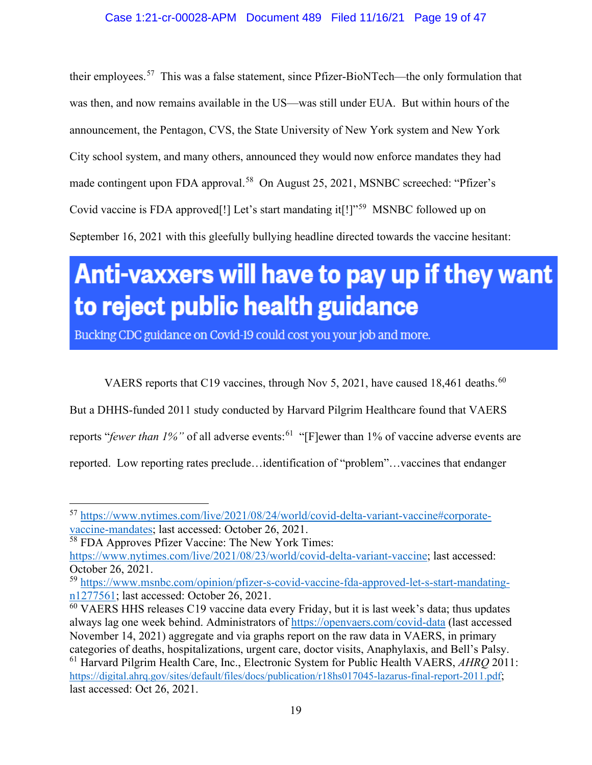their employees.[57](#page-18-0) This was a false statement, since Pfizer-BioNTech—the only formulation that was then, and now remains available in the US—was still under EUA. But within hours of the announcement, the Pentagon, CVS, the State University of New York system and New York City school system, and many others, announced they would now enforce mandates they had made contingent upon FDA approval.<sup>[58](#page-18-1)</sup> On August 25, 2021, MSNBC screeched: "Pfizer's Covid vaccine is FDA approved[!] Let's start mandating it[!]"[59](#page-18-2) MSNBC followed up on September 16, 2021 with this gleefully bullying headline directed towards the vaccine hesitant:

# Anti-vaxxers will have to pay up if they want to reject public health guidance

Bucking CDC guidance on Covid-19 could cost you your job and more.

VAERS reports that C19 vaccines, through Nov 5, 2021, have caused 18,461 deaths.<sup>60</sup>

But a DHHS-funded 2011 study conducted by Harvard Pilgrim Healthcare found that VAERS

reports "*fewer than 1%"* of all adverse events: [61](#page-18-4) "[F]ewer than 1% of vaccine adverse events are

reported. Low reporting rates preclude…identification of "problem"…vaccines that endanger

<span id="page-18-0"></span><sup>57</sup> [https://www.nytimes.com/live/2021/08/24/world/covid-delta-variant-vaccine#corporate](https://www.nytimes.com/live/2021/08/24/world/covid-delta-variant-vaccine#corporate-vaccine-mandates)[vaccine-mandates;](https://www.nytimes.com/live/2021/08/24/world/covid-delta-variant-vaccine#corporate-vaccine-mandates) last accessed: October 26, 2021.

<span id="page-18-1"></span><sup>58</sup> FDA Approves Pfizer Vaccine: The New York Times:

[https://www.nytimes.com/live/2021/08/23/world/covid-delta-variant-vaccine;](https://www.nytimes.com/live/2021/08/23/world/covid-delta-variant-vaccine) last accessed: October 26, 2021.

<span id="page-18-2"></span><sup>59</sup> [https://www.msnbc.com/opinion/pfizer-s-covid-vaccine-fda-approved-let-s-start-mandating](https://www.msnbc.com/opinion/pfizer-s-covid-vaccine-fda-approved-let-s-start-mandating-n1277561)[n1277561;](https://www.msnbc.com/opinion/pfizer-s-covid-vaccine-fda-approved-let-s-start-mandating-n1277561) last accessed: October 26, 2021.

<span id="page-18-4"></span><span id="page-18-3"></span> $60$  VAERS HHS releases C19 vaccine data every Friday, but it is last week's data; thus updates always lag one week behind. Administrators of<https://openvaers.com/covid-data> (last accessed November 14, 2021) aggregate and via graphs report on the raw data in VAERS, in primary categories of deaths, hospitalizations, urgent care, doctor visits, Anaphylaxis, and Bell's Palsy. <sup>61</sup> Harvard Pilgrim Health Care, Inc., Electronic System for Public Health VAERS, *AHRQ* 2011: [https://digital.ahrq.gov/sites/default/files/docs/publication/r18hs017045-lazarus-final-report-2011.pdf;](https://digital.ahrq.gov/sites/default/files/docs/publication/r18hs017045-lazarus-final-report-2011.pdf) last accessed: Oct 26, 2021.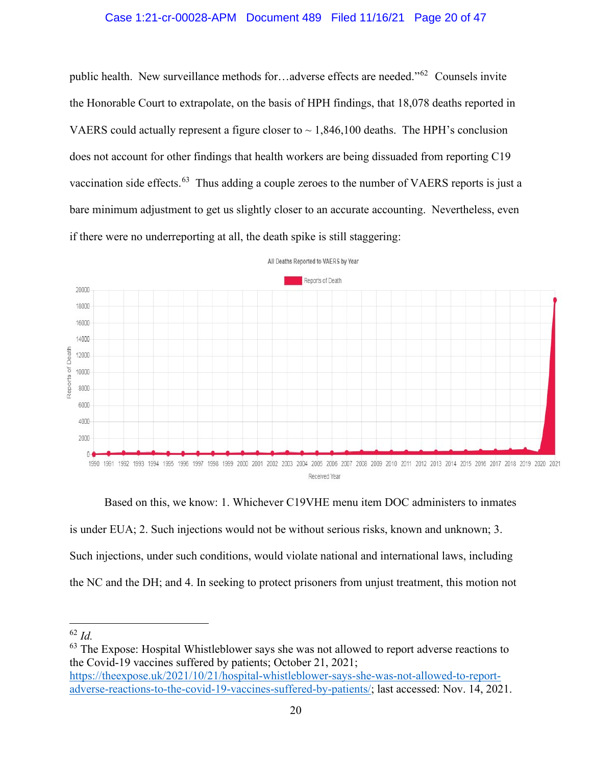#### Case 1:21-cr-00028-APM Document 489 Filed 11/16/21 Page 20 of 47

public health. New surveillance methods for…adverse effects are needed."[62](#page-19-0) Counsels invite the Honorable Court to extrapolate, on the basis of HPH findings, that 18,078 deaths reported in VAERS could actually represent a figure closer to  $\sim 1,846,100$  deaths. The HPH's conclusion does not account for other findings that health workers are being dissuaded from reporting C19 vaccination side effects.<sup>[63](#page-19-1)</sup> Thus adding a couple zeroes to the number of VAERS reports is just a bare minimum adjustment to get us slightly closer to an accurate accounting. Nevertheless, even if there were no underreporting at all, the death spike is still staggering:



All Deaths Reported to VAERS by Year

Based on this, we know: 1. Whichever C19VHE menu item DOC administers to inmates is under EUA; 2. Such injections would not be without serious risks, known and unknown; 3. Such injections, under such conditions, would violate national and international laws, including the NC and the DH; and 4. In seeking to protect prisoners from unjust treatment, this motion not

<span id="page-19-0"></span><sup>62</sup> *Id.*

<span id="page-19-1"></span> $63$  The Expose: Hospital Whistleblower says she was not allowed to report adverse reactions to the Covid-19 vaccines suffered by patients; October 21, 2021;

[https://theexpose.uk/2021/10/21/hospital-whistleblower-says-she-was-not-allowed-to-report](https://urldefense.com/v3/__https:/theexpose.uk/2021/10/21/hospital-whistleblower-says-she-was-not-allowed-to-report-adverse-reactions-to-the-covid-19-vaccines-suffered-by-patients/__;!!C5ewNI1kZw!DNEG3Ge5-h6GRurHYNAAreGtZavcw56LMeDwE93-YC8XvW0OnoeyOct9Gj7OrH-s5_h1xjH9$)[adverse-reactions-to-the-covid-19-vaccines-suffered-by-patients/;](https://urldefense.com/v3/__https:/theexpose.uk/2021/10/21/hospital-whistleblower-says-she-was-not-allowed-to-report-adverse-reactions-to-the-covid-19-vaccines-suffered-by-patients/__;!!C5ewNI1kZw!DNEG3Ge5-h6GRurHYNAAreGtZavcw56LMeDwE93-YC8XvW0OnoeyOct9Gj7OrH-s5_h1xjH9$) last accessed: Nov. 14, 2021.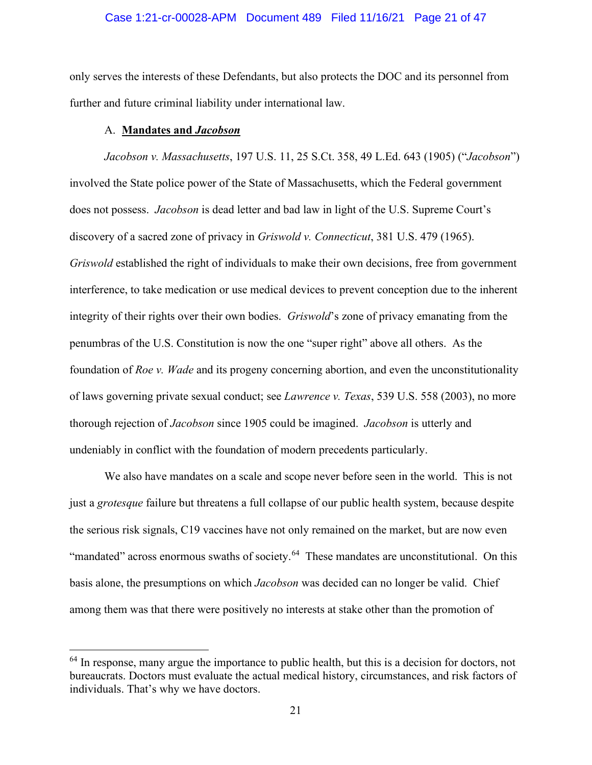#### Case 1:21-cr-00028-APM Document 489 Filed 11/16/21 Page 21 of 47

only serves the interests of these Defendants, but also protects the DOC and its personnel from further and future criminal liability under international law.

#### A. **Mandates and** *Jacobson*

 *Jacobson v. Massachusetts*, 197 U.S. 11, 25 S.Ct. 358, 49 L.Ed. 643 (1905) ("*Jacobson*") involved the State police power of the State of Massachusetts, which the Federal government does not possess. *Jacobson* is dead letter and bad law in light of the U.S. Supreme Court's discovery of a sacred zone of privacy in *Griswold v. Connecticut*, 381 U.S. 479 (1965). *Griswold* established the right of individuals to make their own decisions, free from government interference, to take medication or use medical devices to prevent conception due to the inherent integrity of their rights over their own bodies. *Griswold*'s zone of privacy emanating from the penumbras of the U.S. Constitution is now the one "super right" above all others. As the foundation of *Roe v. Wade* and its progeny concerning abortion, and even the unconstitutionality of laws governing private sexual conduct; see *Lawrence v. Texas*, 539 U.S. 558 (2003), no more thorough rejection of *Jacobson* since 1905 could be imagined. *Jacobson* is utterly and undeniably in conflict with the foundation of modern precedents particularly.

We also have mandates on a scale and scope never before seen in the world. This is not just a *grotesque* failure but threatens a full collapse of our public health system, because despite the serious risk signals, C19 vaccines have not only remained on the market, but are now even "mandated" across enormous swaths of society.<sup>[64](#page-20-0)</sup> These mandates are unconstitutional. On this basis alone, the presumptions on which *Jacobson* was decided can no longer be valid. Chief among them was that there were positively no interests at stake other than the promotion of

<span id="page-20-0"></span> $64$  In response, many argue the importance to public health, but this is a decision for doctors, not bureaucrats. Doctors must evaluate the actual medical history, circumstances, and risk factors of individuals. That's why we have doctors.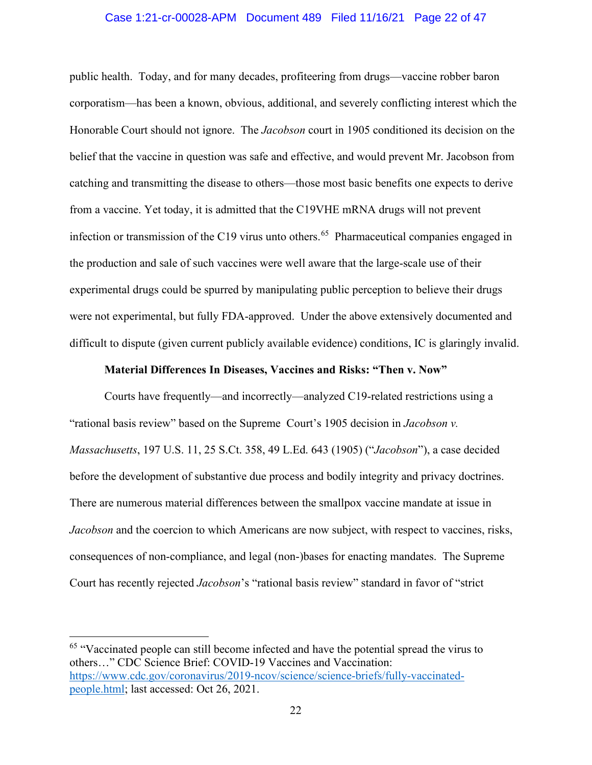#### Case 1:21-cr-00028-APM Document 489 Filed 11/16/21 Page 22 of 47

public health. Today, and for many decades, profiteering from drugs—vaccine robber baron corporatism—has been a known, obvious, additional, and severely conflicting interest which the Honorable Court should not ignore. The *Jacobson* court in 1905 conditioned its decision on the belief that the vaccine in question was safe and effective, and would prevent Mr. Jacobson from catching and transmitting the disease to others—those most basic benefits one expects to derive from a vaccine. Yet today, it is admitted that the C19VHE mRNA drugs will not prevent infection or transmission of the C19 virus unto others.<sup>[65](#page-21-0)</sup> Pharmaceutical companies engaged in the production and sale of such vaccines were well aware that the large-scale use of their experimental drugs could be spurred by manipulating public perception to believe their drugs were not experimental, but fully FDA-approved. Under the above extensively documented and difficult to dispute (given current publicly available evidence) conditions, IC is glaringly invalid.

#### **Material Differences In Diseases, Vaccines and Risks: "Then v. Now"**

Courts have frequently—and incorrectly—analyzed C19-related restrictions using a "rational basis review" based on the Supreme Court's 1905 decision in *Jacobson v. Massachusetts*, 197 U.S. 11, 25 S.Ct. 358, 49 L.Ed. 643 (1905) ("*Jacobson*"), a case decided before the development of substantive due process and bodily integrity and privacy doctrines. There are numerous material differences between the smallpox vaccine mandate at issue in *Jacobson* and the coercion to which Americans are now subject, with respect to vaccines, risks, consequences of non-compliance, and legal (non-)bases for enacting mandates. The Supreme Court has recently rejected *Jacobson*'s "rational basis review" standard in favor of "strict

<span id="page-21-0"></span><sup>&</sup>lt;sup>65</sup> "Vaccinated people can still become infected and have the potential spread the virus to others…" CDC Science Brief: COVID-19 Vaccines and Vaccination: [https://www.cdc.gov/coronavirus/2019-ncov/science/science-briefs/fully-vaccinated](https://www.cdc.gov/coronavirus/2019-ncov/science/science-briefs/fully-vaccinated-people.html)[people.html;](https://www.cdc.gov/coronavirus/2019-ncov/science/science-briefs/fully-vaccinated-people.html) last accessed: Oct 26, 2021.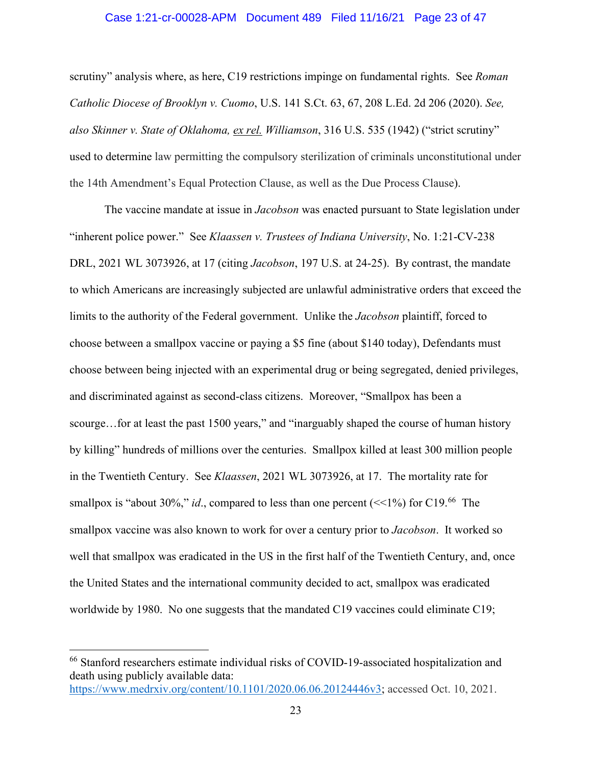#### Case 1:21-cr-00028-APM Document 489 Filed 11/16/21 Page 23 of 47

scrutiny" analysis where, as here, C19 restrictions impinge on fundamental rights. See *Roman Catholic Diocese of Brooklyn v. Cuomo*, U.S. 141 S.Ct. 63, 67, 208 L.Ed. 2d 206 (2020). *See, also Skinner v. State of Oklahoma, [ex rel.](https://en.wikipedia.org/wiki/Ex_rel.) Williamson*, 316 U.S. 535 (1942) ("strict scrutiny" used to determine law permitting the compulsory sterilization of criminals unconstitutional under the 14th Amendment's Equal Protection Clause, as well as the Due Process Clause).

The vaccine mandate at issue in *Jacobson* was enacted pursuant to State legislation under "inherent police power." See *Klaassen v. Trustees of Indiana University*, No. 1:21-CV-238 DRL, 2021 WL 3073926, at 17 (citing *Jacobson*, 197 U.S. at 24-25). By contrast, the mandate to which Americans are increasingly subjected are unlawful administrative orders that exceed the limits to the authority of the Federal government. Unlike the *Jacobson* plaintiff, forced to choose between a smallpox vaccine or paying a \$5 fine (about \$140 today), Defendants must choose between being injected with an experimental drug or being segregated, denied privileges, and discriminated against as second-class citizens. Moreover, "Smallpox has been a scourge...for at least the past 1500 years," and "inarguably shaped the course of human history by killing" hundreds of millions over the centuries. Smallpox killed at least 300 million people in the Twentieth Century. See *Klaassen*, 2021 WL 3073926, at 17. The mortality rate for smallpox is "about 30%," *id.*, compared to less than one percent (<<1%) for C19.<sup>66</sup> The smallpox vaccine was also known to work for over a century prior to *Jacobson*. It worked so well that smallpox was eradicated in the US in the first half of the Twentieth Century, and, once the United States and the international community decided to act, smallpox was eradicated worldwide by 1980. No one suggests that the mandated C19 vaccines could eliminate C19;

<span id="page-22-0"></span><sup>66</sup> Stanford researchers estimate individual risks of COVID-19-associated hospitalization and death using publicly available data: [https://www.medrxiv.org/content/10.1101/2020.06.06.20124446v3;](https://www.medrxiv.org/content/10.1101/2020.06.06.20124446v3) accessed Oct. 10, 2021.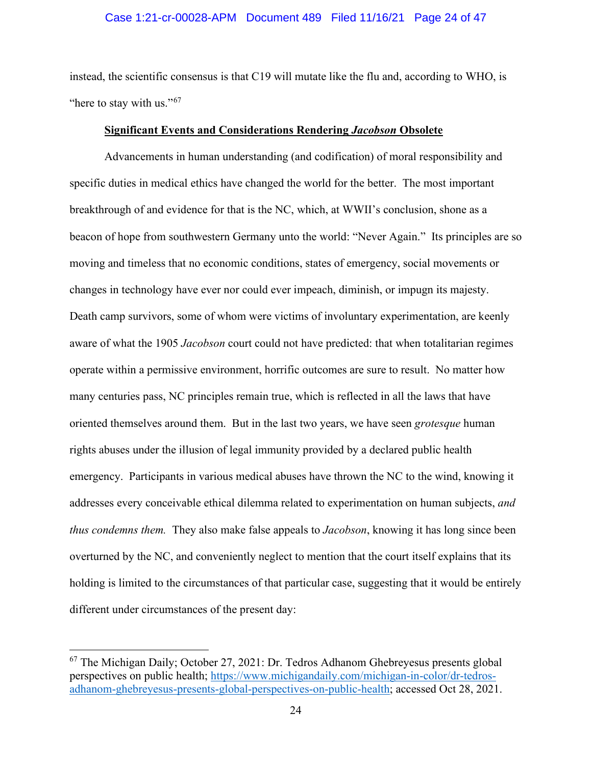#### Case 1:21-cr-00028-APM Document 489 Filed 11/16/21 Page 24 of 47

instead, the scientific consensus is that C19 will mutate like the flu and, according to WHO, is "here to stay with us."<sup>67</sup>

# **Significant Events and Considerations Rendering** *Jacobson* **Obsolete**

Advancements in human understanding (and codification) of moral responsibility and specific duties in medical ethics have changed the world for the better. The most important breakthrough of and evidence for that is the NC, which, at WWII's conclusion, shone as a beacon of hope from southwestern Germany unto the world: "Never Again." Its principles are so moving and timeless that no economic conditions, states of emergency, social movements or changes in technology have ever nor could ever impeach, diminish, or impugn its majesty. Death camp survivors, some of whom were victims of involuntary experimentation, are keenly aware of what the 1905 *Jacobson* court could not have predicted: that when totalitarian regimes operate within a permissive environment, horrific outcomes are sure to result. No matter how many centuries pass, NC principles remain true, which is reflected in all the laws that have oriented themselves around them. But in the last two years, we have seen *grotesque* human rights abuses under the illusion of legal immunity provided by a declared public health emergency. Participants in various medical abuses have thrown the NC to the wind, knowing it addresses every conceivable ethical dilemma related to experimentation on human subjects, *and thus condemns them.* They also make false appeals to *Jacobson*, knowing it has long since been overturned by the NC, and conveniently neglect to mention that the court itself explains that its holding is limited to the circumstances of that particular case, suggesting that it would be entirely different under circumstances of the present day:

<span id="page-23-0"></span><sup>67</sup> The Michigan Daily; October 27, 2021: Dr. Tedros Adhanom Ghebreyesus presents global perspectives on public health; [https://www.michigandaily.com/michigan-in-color/dr-tedros](https://www.michigandaily.com/michigan-in-color/dr-tedros-adhanom-ghebreyesus-presents-global-perspectives-on-public-health)[adhanom-ghebreyesus-presents-global-perspectives-on-public-health;](https://www.michigandaily.com/michigan-in-color/dr-tedros-adhanom-ghebreyesus-presents-global-perspectives-on-public-health) accessed Oct 28, 2021.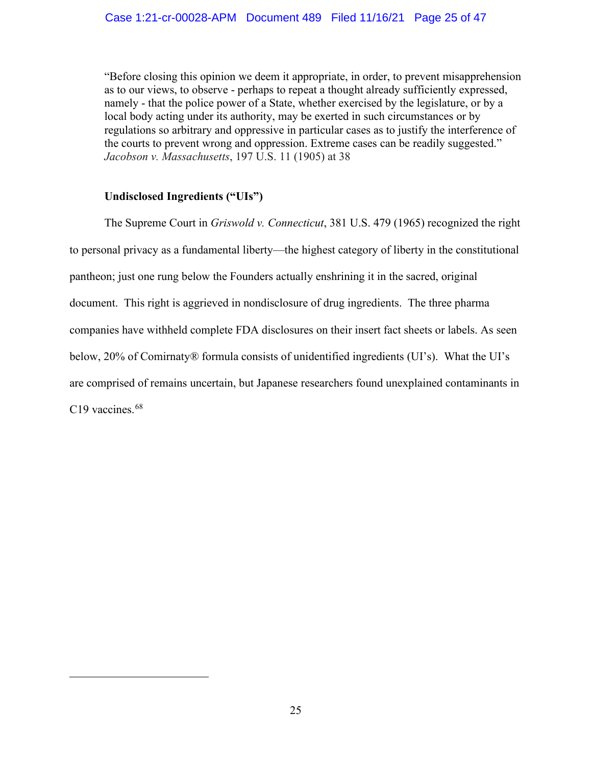"Before closing this opinion we deem it appropriate, in order, to prevent misapprehension as to our views, to observe - perhaps to repeat a thought already sufficiently expressed, namely - that the police power of a State, whether exercised by the legislature, or by a local body acting under its authority, may be exerted in such circumstances or by regulations so arbitrary and oppressive in particular cases as to justify the interference of the courts to prevent wrong and oppression. Extreme cases can be readily suggested." *Jacobson v. Massachusetts*, 197 U.S. 11 (1905) at 38

# **Undisclosed Ingredients ("UIs")**

<span id="page-24-0"></span>The Supreme Court in *Griswold v. Connecticut*, 381 U.S. 479 (1965) recognized the right to personal privacy as a fundamental liberty—the highest category of liberty in the constitutional pantheon; just one rung below the Founders actually enshrining it in the sacred, original document. This right is aggrieved in nondisclosure of drug ingredients. The three pharma companies have withheld complete FDA disclosures on their insert fact sheets or labels. As seen below, 20% of Comirnaty® formula consists of unidentified ingredients (UI's). What the UI's are comprised of remains uncertain, but Japanese researchers found unexplained contaminants in C19 vaccines.<sup>68</sup>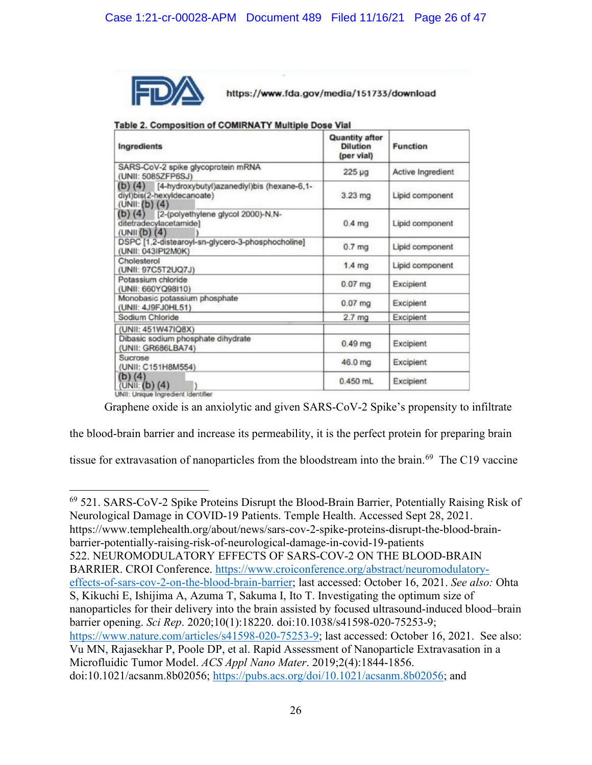

https://www.fda.gov/media/151733/download

| Ingredients                                                                                       | <b>Quantity after</b><br><b>Dilution</b><br>(per vial) | <b>Function</b>   |
|---------------------------------------------------------------------------------------------------|--------------------------------------------------------|-------------------|
| SARS-CoV-2 spike glycoprotein mRNA<br>(UNII: 5085ZFP6SJ)                                          | $225 \mu g$                                            | Active Ingredient |
| (b) (4) [4-hydroxybutyl)azanediyl)bis (hexane-6,1-<br>diyl)bis(2-hexyldecanoate)<br>(UNI::(b) (4) | $3.23 \text{ mg}$                                      | Lipid component   |
| (b) $(4)$<br>[2-(polyethylene glycol 2000)-N,N-<br>ditetradecylacetamide1<br>(UNII(b) (4))        | $0.4$ mg                                               | Lipid component   |
| DSPC [1,2-distearoyl-sn-glycero-3-phosphocholine]<br>(UNII: 043IPI2M0K)                           | 0.7 <sub>mg</sub>                                      | Lipid component   |
| Cholesterol<br>(UNII: 97C5T2UQ7J)                                                                 | 1.4 <sub>mg</sub>                                      | Lipid component   |
| Potassium chloride<br>(UNII: 660YQ98I10)                                                          | $0.07$ mg                                              | Excipient         |
| Monobasic potassium phosphate<br>(UNII: 4J9FJ0HL51)                                               | $0.07$ mg                                              | Excipient         |
| Sodium Chloride                                                                                   | 2.7 <sub>mg</sub>                                      | Excipient         |
| (UNII: 451W47IQ8X)                                                                                |                                                        |                   |
| Dibasic sodium phosphate dihydrate<br>(UNII: GR686LBA74)                                          | $0.49$ mg                                              | Excipient         |
| Sucrose<br>(UNII: C151H8M554)                                                                     | 46.0 mg                                                | Excipient         |
| $(b)$ (4)<br>(UNI: (b) (4)                                                                        | $0.450$ mL                                             | Excipient         |
| UNII: Unique Ingredient Identifier                                                                |                                                        |                   |

| Table 2. Composition of COMIRNATY Multiple Dose Via |  |  |
|-----------------------------------------------------|--|--|

Graphene oxide is an anxiolytic and given SARS-CoV-2 Spike's propensity to infiltrate

the blood-brain barrier and increase its permeability, it is the perfect protein for preparing brain

tissue for extravasation of nanoparticles from the bloodstream into the brain.<sup>[69](#page-25-0)</sup> The C19 vaccine

<span id="page-25-0"></span> $69$  521. SARS-CoV-2 Spike Proteins Disrupt the Blood-Brain Barrier, Potentially Raising Risk of Neurological Damage in COVID-19 Patients. Temple Health. Accessed Sept 28, 2021. https://www.templehealth.org/about/news/sars-cov-2-spike-proteins-disrupt-the-blood-brainbarrier-potentially-raising-risk-of-neurological-damage-in-covid-19-patients 522. NEUROMODULATORY EFFECTS OF SARS-COV-2 ON THE BLOOD-BRAIN BARRIER. CROI Conference. [https://www.croiconference.org/abstract/neuromodulatory](https://www.croiconference.org/abstract/neuromodulatory-effects-of-sars-cov-2-on-the-blood-brain-barrier)[effects-of-sars-cov-2-on-the-blood-brain-barrier;](https://www.croiconference.org/abstract/neuromodulatory-effects-of-sars-cov-2-on-the-blood-brain-barrier) last accessed: October 16, 2021. *See also:* Ohta S, Kikuchi E, Ishijima A, Azuma T, Sakuma I, Ito T. Investigating the optimum size of nanoparticles for their delivery into the brain assisted by focused ultrasound-induced blood–brain barrier opening. *Sci Rep*. 2020;10(1):18220. doi:10.1038/s41598-020-75253-9; [https://www.nature.com/articles/s41598-020-75253-9;](https://www.nature.com/articles/s41598-020-75253-9) last accessed: October 16, 2021. See also: Vu MN, Rajasekhar P, Poole DP, et al. Rapid Assessment of Nanoparticle Extravasation in a Microfluidic Tumor Model. *ACS Appl Nano Mater*. 2019;2(4):1844-1856. doi:10.1021/acsanm.8b02056; [https://pubs.acs.org/doi/10.1021/acsanm.8b02056;](https://pubs.acs.org/doi/10.1021/acsanm.8b02056) and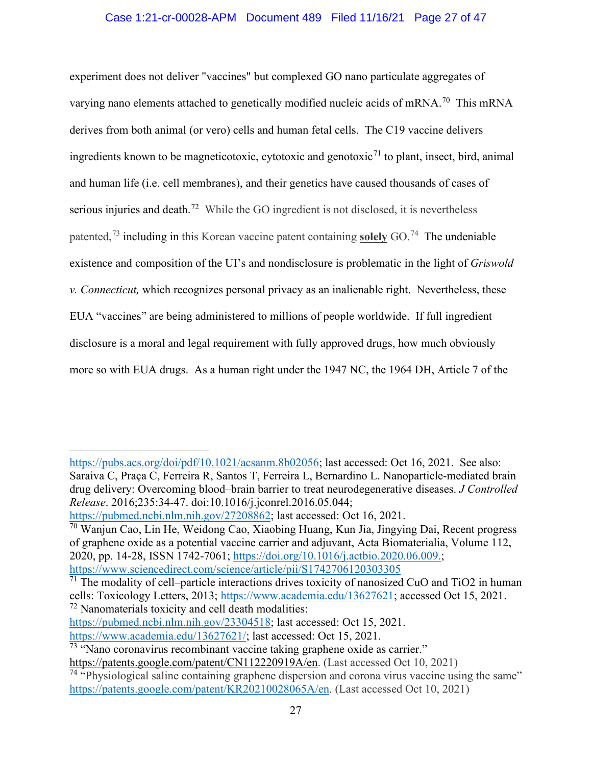# Case 1:21-cr-00028-APM Document 489 Filed 11/16/21 Page 27 of 47

experiment does not deliver "vaccines" but complexed GO nano particulate aggregates of varying nano elements attached to genetically modified nucleic acids of mRNA.<sup>70</sup> This mRNA derives from both animal (or vero) cells and human fetal cells. The C19 vaccine delivers ingredients known to be magneticotoxic, cytotoxic and genotoxic<sup>[71](#page-26-1)</sup> to plant, insect, bird, animal and human life (i.e. cell membranes), and their genetics have caused thousands of cases of serious injuries and death.<sup>72</sup> While the GO ingredient is not disclosed, it is nevertheless patented,[73](#page-26-3) including in this Korean vaccine patent containing **solely** GO.[74](#page-26-4) The undeniable existence and composition of the UI's and nondisclosure is problematic in the light of *Griswold v. Connecticut,* which recognizes personal privacy as an inalienable right. Nevertheless, these EUA "vaccines" are being administered to millions of people worldwide. If full ingredient disclosure is a moral and legal requirement with fully approved drugs, how much obviously more so with EUA drugs. As a human right under the 1947 NC, the 1964 DH, Article 7 of the

[https://pubs.acs.org/doi/pdf/10.1021/acsanm.8b02056;](https://pubs.acs.org/doi/pdf/10.1021/acsanm.8b02056) last accessed: Oct 16, 2021. See also: Saraiva C, Praça C, Ferreira R, Santos T, Ferreira L, Bernardino L. Nanoparticle-mediated brain drug delivery: Overcoming blood–brain barrier to treat neurodegenerative diseases. *J Controlled Release*. 2016;235:34-47. doi:10.1016/j.jconrel.2016.05.044;

[https://pubmed.ncbi.nlm.nih.gov/27208862;](https://pubmed.ncbi.nlm.nih.gov/27208862) last accessed: Oct 16, 2021.

<span id="page-26-0"></span><sup>70</sup> Wanjun Cao, Lin He, Weidong Cao, Xiaobing Huang, Kun Jia, Jingying Dai, Recent progress of graphene oxide as a potential vaccine carrier and adjuvant, Acta Biomaterialia, Volume 112, 2020, pp. 14-28, ISSN 1742-7061; [https://doi.org/10.1016/j.actbio.2020.06.009.;](https://urldefense.com/v3/__https:/doi.org/10.1016/j.actbio.2020.06.009__;!!C5ewNI1kZw!H1uZQG6xEAeDUzQc3vhAlSzCbHbwzyux1ZsrZxkmufrY5sZ1FnBHepS-gRAaI57o_n7qm5v0$) [https://www.sciencedirect.com/science/article/pii/S1742706120303305](https://www.sciencedirect.com/science/article/pii/S1742706120303305))

<span id="page-26-1"></span> $71$  The modality of cell–particle interactions drives toxicity of nanosized CuO and TiO2 in human cells: Toxicology Letters, 2013; [https://www.academia.edu/13627621;](https://www.academia.edu/13627621) accessed Oct 15, 2021. <sup>72</sup> Nanomaterials toxicity and cell death modalities:

<span id="page-26-2"></span>[https://pubmed.ncbi.nlm.nih.gov/23304518;](https://pubmed.ncbi.nlm.nih.gov/23304518) last accessed: Oct 15, 2021.

[https://www.academia.edu/13627621/;](https://www.academia.edu/13627621/The_modality_of_cell_particle_interactions_drives_the_toxicity_of_nanosized_CuO_and_TiO2_in_human_alveolar_epithelial_cells?email_work_card=view-paper) last accessed: Oct 15, 2021.

<span id="page-26-3"></span> $\frac{73}{13}$  "Nano coronavirus recombinant vaccine taking graphene oxide as carrier."

[https://patents.google.com/patent/CN112220919A/en.](https://urldefense.com/v3/__https:/patents.google.com/patent/CN112220919A/en__;!!C5ewNI1kZw!Ahlti0kZYY_vKu0WxDslX1QwI7wqNEIA_XpvvS_bqdK7i-H46TpwJZZL0x4prRTPYHhm56qP$) (Last accessed Oct 10, 2021)

<span id="page-26-4"></span> $\frac{74}{14}$  "Physiological saline containing graphene dispersion and corona virus vaccine using the same" [https://patents.google.com/patent/KR20210028065A/en.](https://patents.google.com/patent/KR20210028065A/en) (Last accessed Oct 10, 2021)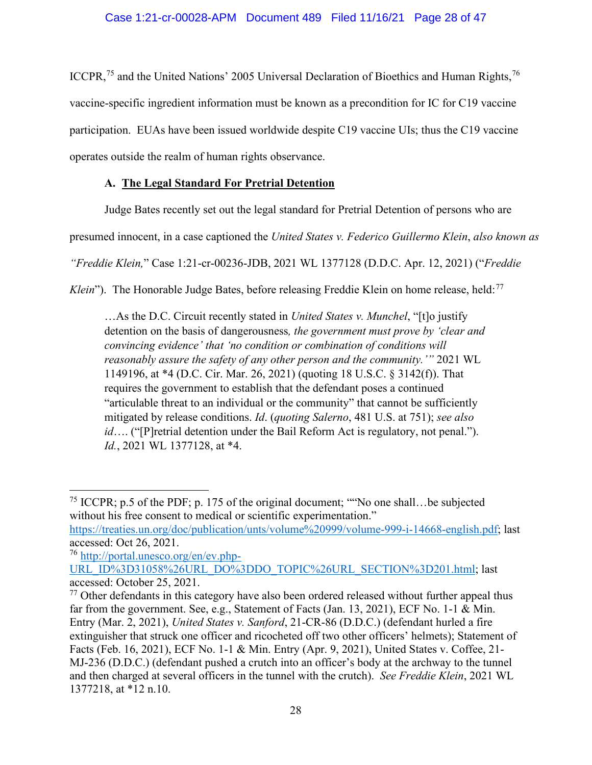ICCPR,<sup>[75](#page-27-0)</sup> and the United Nations' 2005 Universal Declaration of Bioethics and Human Rights,<sup>[76](#page-27-1)</sup> vaccine-specific ingredient information must be known as a precondition for IC for C19 vaccine participation. EUAs have been issued worldwide despite C19 vaccine UIs; thus the C19 vaccine operates outside the realm of human rights observance.

# **A. The Legal Standard For Pretrial Detention**

Judge Bates recently set out the legal standard for Pretrial Detention of persons who are

presumed innocent, in a case captioned the *United States v. Federico Guillermo Klein*, *also known as* 

*"Freddie Klein,*" Case 1:21-cr-00236-JDB, 2021 WL 1377128 (D.D.C. Apr. 12, 2021) ("*Freddie* 

Klein"). The Honorable Judge Bates, before releasing Freddie Klein on home release, held:<sup>[77](#page-27-2)</sup>

…As the D.C. Circuit recently stated in *United States v. Munchel*, "[t]o justify detention on the basis of dangerousness*, the government must prove by 'clear and convincing evidence' that 'no condition or combination of conditions will reasonably assure the safety of any other person and the community.'"* 2021 WL 1149196, at \*4 (D.C. Cir. Mar. 26, 2021) (quoting 18 U.S.C. § 3142(f)). That requires the government to establish that the defendant poses a continued "articulable threat to an individual or the community" that cannot be sufficiently mitigated by release conditions. *Id*. (*quoting Salerno*, 481 U.S. at 751); *see also id*…. ("[P]retrial detention under the Bail Reform Act is regulatory, not penal."). *Id.*, 2021 WL 1377128, at \*4.

<span id="page-27-0"></span><sup>75</sup> ICCPR; p.5 of the PDF; p. 175 of the original document; ""No one shall…be subjected without his free consent to medical or scientific experimentation."

[https://treaties.un.org/doc/publication/unts/volume%20999/volume-999-i-14668-english.pdf;](https://treaties.un.org/doc/publication/unts/volume%20999/volume-999-i-14668-english.pdf) last accessed: Oct 26, 2021.

<span id="page-27-1"></span><sup>76</sup> [http://portal.unesco.org/en/ev.php-](http://portal.unesco.org/en/ev.php-URL_ID%3D31058%26URL_DO%3DDO_TOPIC%26URL_SECTION%3D201.html)[URL\\_ID%3D31058%26URL\\_DO%3DDO\\_TOPIC%26URL\\_SECTION%3D201.html;](http://portal.unesco.org/en/ev.php-URL_ID%3D31058%26URL_DO%3DDO_TOPIC%26URL_SECTION%3D201.html) last

accessed: October 25, 2021.

<span id="page-27-2"></span> $77$  Other defendants in this category have also been ordered released without further appeal thus far from the government. See, e.g., Statement of Facts (Jan. 13, 2021), ECF No. 1-1 & Min. Entry (Mar. 2, 2021), *United States v. Sanford*, 21-CR-86 (D.D.C.) (defendant hurled a fire extinguisher that struck one officer and ricocheted off two other officers' helmets); Statement of Facts (Feb. 16, 2021), ECF No. 1-1 & Min. Entry (Apr. 9, 2021), United States v. Coffee, 21- MJ-236 (D.D.C.) (defendant pushed a crutch into an officer's body at the archway to the tunnel and then charged at several officers in the tunnel with the crutch). *See Freddie Klein*, 2021 WL 1377218, at \*12 n.10.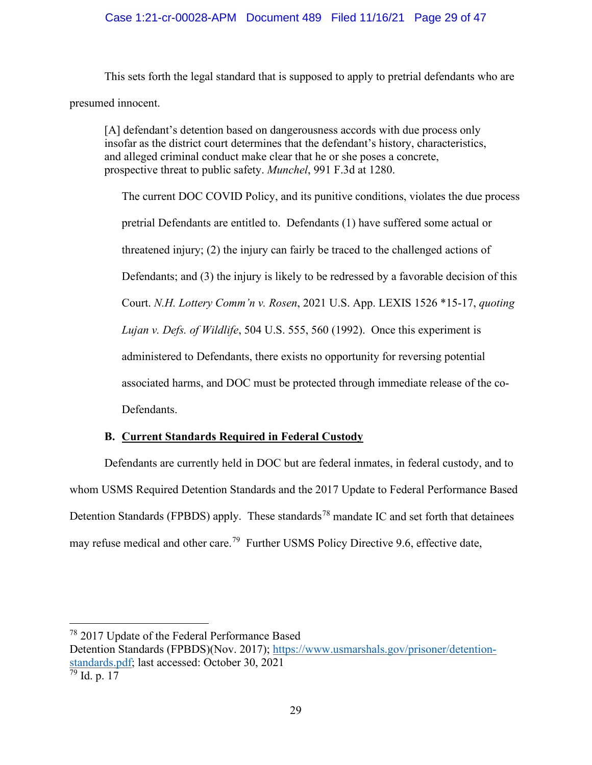This sets forth the legal standard that is supposed to apply to pretrial defendants who are presumed innocent.

[A] defendant's detention based on dangerousness accords with due process only insofar as the district court determines that the defendant's history, characteristics, and alleged criminal conduct make clear that he or she poses a concrete, prospective threat to public safety. *Munchel*, 991 F.3d at 1280.

The current DOC COVID Policy, and its punitive conditions, violates the due process pretrial Defendants are entitled to. Defendants (1) have suffered some actual or threatened injury; (2) the injury can fairly be traced to the challenged actions of Defendants; and (3) the injury is likely to be redressed by a favorable decision of this Court. *N.H. Lottery Comm'n v. Rosen*, 2021 U.S. App. LEXIS 1526 \*15-17, *quoting Lujan v. Defs. of Wildlife*, 504 U.S. 555, 560 (1992). Once this experiment is administered to Defendants, there exists no opportunity for reversing potential associated harms, and DOC must be protected through immediate release of the co-Defendants.

# **B. Current Standards Required in Federal Custody**

Defendants are currently held in DOC but are federal inmates, in federal custody, and to whom USMS Required Detention Standards and the 2017 Update to Federal Performance Based Detention Standards (FPBDS) apply. These standards<sup>[78](#page-28-0)</sup> mandate IC and set forth that detainees may refuse medical and other care.<sup>[79](#page-28-1)</sup> Further USMS Policy Directive 9.6, effective date,

<span id="page-28-0"></span><sup>78</sup> 2017 Update of the Federal Performance Based

Detention Standards (FPBDS)(Nov. 2017); [https://www.usmarshals.gov/prisoner/detention](https://www.usmarshals.gov/prisoner/detention-standards.pdf)[standards.pdf;](https://www.usmarshals.gov/prisoner/detention-standards.pdf) last accessed: October 30, 2021

<span id="page-28-1"></span> $\frac{79}{79}$  Id. p. 17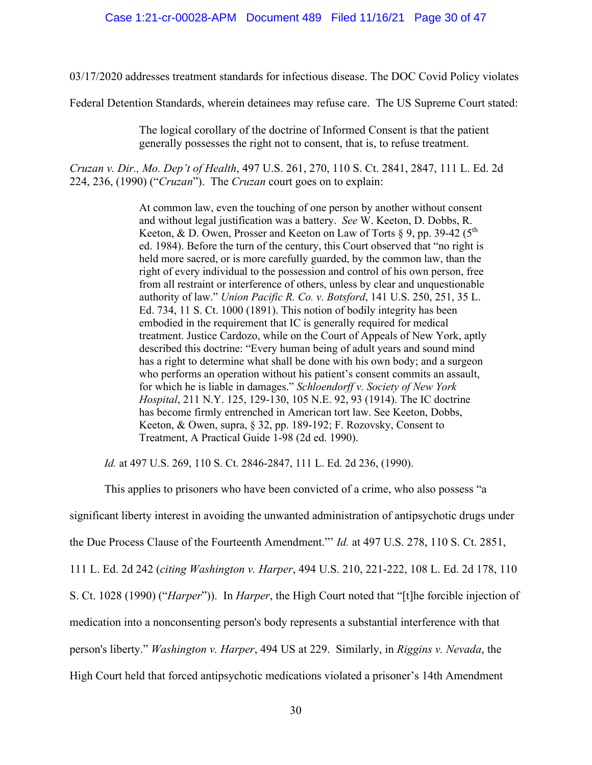03/17/2020 addresses treatment standards for infectious disease. The DOC Covid Policy violates

Federal Detention Standards, wherein detainees may refuse care. The US Supreme Court stated:

The logical corollary of the doctrine of Informed Consent is that the patient generally possesses the right not to consent, that is, to refuse treatment.

*Cruzan v. Dir., Mo. Dep't of Health*, 497 U.S. 261, 270, 110 S. Ct. 2841, 2847, 111 L. Ed. 2d 224, 236, (1990) ("*Cruzan*"). The *Cruzan* court goes on to explain:

> At common law, even the touching of one person by another without consent and without legal justification was a battery. *See* W. Keeton, D. Dobbs, R. Keeton, & D. Owen, Prosser and Keeton on Law of Torts  $\S 9$ , pp. 39-42 (5<sup>th</sup>) ed. 1984). Before the turn of the century, this Court observed that "no right is held more sacred, or is more carefully guarded, by the common law, than the right of every individual to the possession and control of his own person, free from all restraint or interference of others, unless by clear and unquestionable authority of law." *Union Pacific R. Co. v. Botsford*, 141 U.S. 250, 251, 35 L. Ed. 734, 11 S. Ct. 1000 (1891). This notion of bodily integrity has been embodied in the requirement that IC is generally required for medical treatment. Justice Cardozo, while on the Court of Appeals of New York, aptly described this doctrine: "Every human being of adult years and sound mind has a right to determine what shall be done with his own body; and a surgeon who performs an operation without his patient's consent commits an assault, for which he is liable in damages." *Schloendorff v. Society of New York Hospital*, 211 N.Y. 125, 129-130, 105 N.E. 92, 93 (1914). The IC doctrine has become firmly entrenched in American tort law. See Keeton, Dobbs, Keeton, & Owen, supra, § 32, pp. 189-192; F. Rozovsky, Consent to Treatment, A Practical Guide 1-98 (2d ed. 1990).

*Id.* at 497 U.S. 269, 110 S. Ct. 2846-2847, 111 L. Ed. 2d 236, (1990).

This applies to prisoners who have been convicted of a crime, who also possess "a significant liberty interest in avoiding the unwanted administration of antipsychotic drugs under the Due Process Clause of the Fourteenth Amendment."' *Id.* at 497 U.S. 278, 110 S. Ct. 2851, 111 L. Ed. 2d 242 (*citing Washington v. Harper*, 494 U.S. 210, 221-222, 108 L. Ed. 2d 178, 110 S. Ct. 1028 (1990) ("*Harper*")). In *Harper*, the High Court noted that "[t]he forcible injection of medication into a nonconsenting person's body represents a substantial interference with that person's liberty." *Washington v. Harper*, 494 US at 229. Similarly, in *Riggins v. Nevada*, the High Court held that forced antipsychotic medications violated a prisoner's 14th Amendment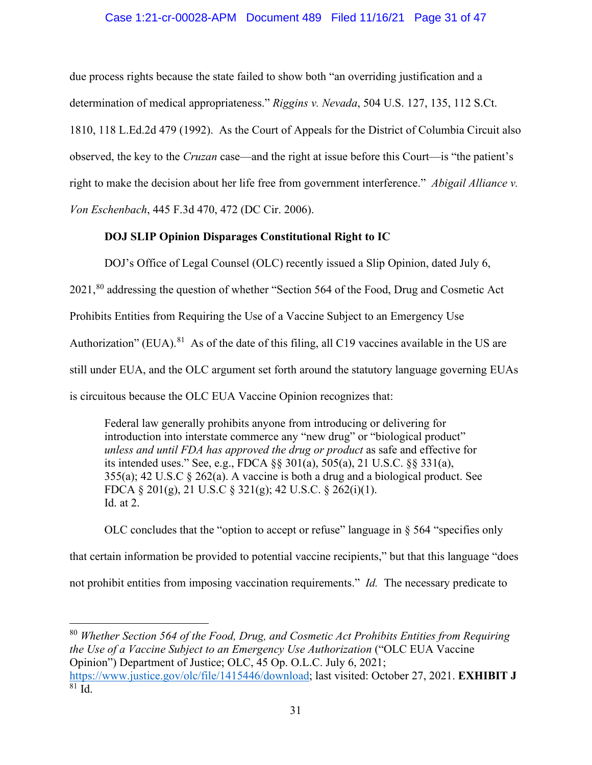# Case 1:21-cr-00028-APM Document 489 Filed 11/16/21 Page 31 of 47

due process rights because the state failed to show both "an overriding justification and a determination of medical appropriateness." *Riggins v. Nevada*, 504 U.S. 127, 135, 112 S.Ct. 1810, 118 L.Ed.2d 479 (1992). As the Court of Appeals for the District of Columbia Circuit also observed, the key to the *Cruzan* case—and the right at issue before this Court—is "the patient's right to make the decision about her life free from government interference." *Abigail Alliance v. Von Eschenbach*, 445 F.3d 470, 472 (DC Cir. 2006).

# **DOJ SLIP Opinion Disparages Constitutional Right to IC**

DOJ's Office of Legal Counsel (OLC) recently issued a Slip Opinion, dated July 6,

2021,<sup>[80](#page-30-0)</sup> addressing the question of whether "Section 564 of the Food, Drug and Cosmetic Act

Prohibits Entities from Requiring the Use of a Vaccine Subject to an Emergency Use

Authorization" (EUA). $81$  As of the date of this filing, all C19 vaccines available in the US are

still under EUA, and the OLC argument set forth around the statutory language governing EUAs

is circuitous because the OLC EUA Vaccine Opinion recognizes that:

Federal law generally prohibits anyone from introducing or delivering for introduction into interstate commerce any "new drug" or "biological product" *unless and until FDA has approved the drug or product* as safe and effective for its intended uses." See, e.g., FDCA §§ 301(a), 505(a), 21 U.S.C. §§ 331(a), 355(a); 42 U.S.C § 262(a). A vaccine is both a drug and a biological product. See FDCA § 201(g), 21 U.S.C § 321(g); 42 U.S.C. § 262(i)(1). Id. at 2.

OLC concludes that the "option to accept or refuse" language in § 564 "specifies only that certain information be provided to potential vaccine recipients," but that this language "does not prohibit entities from imposing vaccination requirements." *Id.* The necessary predicate to

<span id="page-30-1"></span><span id="page-30-0"></span><sup>80</sup> *Whether Section 564 of the Food, Drug, and Cosmetic Act Prohibits Entities from Requiring the Use of a Vaccine Subject to an Emergency Use Authorization* ("OLC EUA Vaccine Opinion") Department of Justice; OLC, 45 Op. O.L.C. July 6, 2021; [https://www.justice.gov/olc/file/1415446/download;](https://www.justice.gov/olc/file/1415446/download) last visited: October 27, 2021. **EXHIBIT J**  $81 \overline{Id}$ .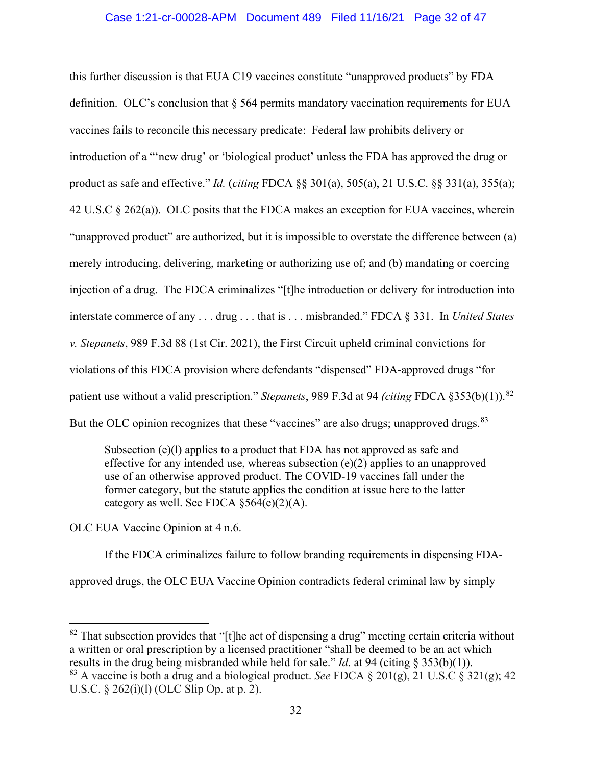#### Case 1:21-cr-00028-APM Document 489 Filed 11/16/21 Page 32 of 47

this further discussion is that EUA C19 vaccines constitute "unapproved products" by FDA definition. OLC's conclusion that § 564 permits mandatory vaccination requirements for EUA vaccines fails to reconcile this necessary predicate: Federal law prohibits delivery or introduction of a "'new drug' or 'biological product' unless the FDA has approved the drug or product as safe and effective." *Id.* (*citing* FDCA §§ 301(a), 505(a), 21 U.S.C. §§ 331(a), 355(a); 42 U.S.C § 262(a)). OLC posits that the FDCA makes an exception for EUA vaccines, wherein "unapproved product" are authorized, but it is impossible to overstate the difference between (a) merely introducing, delivering, marketing or authorizing use of; and (b) mandating or coercing injection of a drug. The FDCA criminalizes "[t]he introduction or delivery for introduction into interstate commerce of any . . . drug . . . that is . . . misbranded." FDCA § 331. In *United States v. Stepanets*, 989 F.3d 88 (1st Cir. 2021), the First Circuit upheld criminal convictions for violations of this FDCA provision where defendants "dispensed" FDA-approved drugs "for patient use without a valid prescription." *Stepanets*, 989 F.3d at 94 *(citing* FDCA §353(b)(1)). [82](#page-31-0)  But the OLC opinion recognizes that these "vaccines" are also drugs; unapproved drugs. <sup>[83](#page-31-1)</sup>

Subsection (e)(1) applies to a product that FDA has not approved as safe and effective for any intended use, whereas subsection  $(e)(2)$  applies to an unapproved use of an otherwise approved product. The COVlD-19 vaccines fall under the former category, but the statute applies the condition at issue here to the latter category as well. See FDCA  $\S 564(e)(2)(A)$ .

OLC EUA Vaccine Opinion at 4 n.6.

If the FDCA criminalizes failure to follow branding requirements in dispensing FDAapproved drugs, the OLC EUA Vaccine Opinion contradicts federal criminal law by simply

<span id="page-31-0"></span> $82$  That subsection provides that "[t]he act of dispensing a drug" meeting certain criteria without a written or oral prescription by a licensed practitioner "shall be deemed to be an act which results in the drug being misbranded while held for sale." *Id*. at 94 (citing § 353(b)(1)).

<span id="page-31-1"></span><sup>83</sup> A vaccine is both a drug and a biological product. *See* FDCA § 201(g), 21 U.S.C § 321(g); 42 U.S.C. § 262(i)(l) (OLC Slip Op. at p. 2).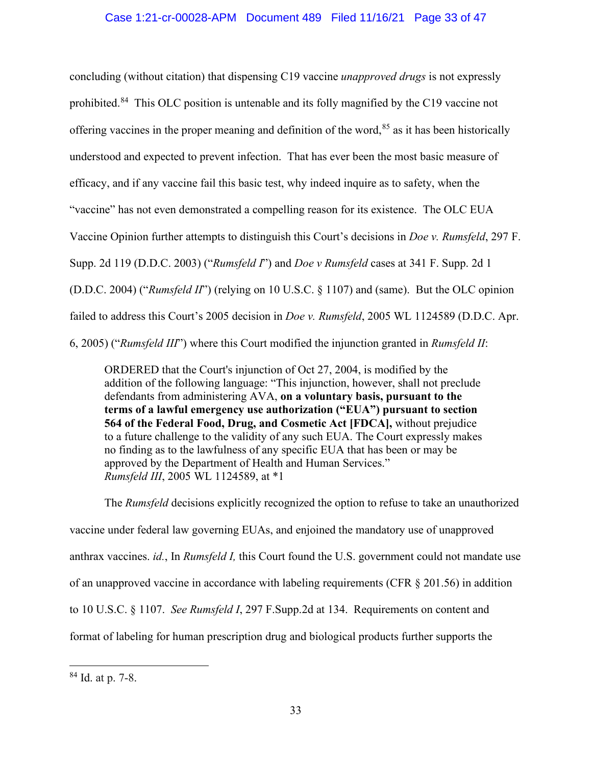# Case 1:21-cr-00028-APM Document 489 Filed 11/16/21 Page 33 of 47

concluding (without citation) that dispensing C19 vaccine *unapproved drugs* is not expressly prohibited.<sup>[84](#page-32-0)</sup> This OLC position is untenable and its folly magnified by the C19 vaccine not offering vaccines in the proper meaning and definition of the word,<sup>[85](#page-32-1)</sup> as it has been historically understood and expected to prevent infection. That has ever been the most basic measure of efficacy, and if any vaccine fail this basic test, why indeed inquire as to safety, when the "vaccine" has not even demonstrated a compelling reason for its existence. The OLC EUA Vaccine Opinion further attempts to distinguish this Court's decisions in *Doe v. Rumsfeld*, 297 F. Supp. 2d 119 (D.D.C. 2003) ("*Rumsfeld I*") and *Doe v Rumsfeld* cases at 341 F. Supp. 2d 1 (D.D.C. 2004) ("*Rumsfeld II*") (relying on 10 U.S.C. § 1107) and (same). But the OLC opinion failed to address this Court's 2005 decision in *Doe v. Rumsfeld*, 2005 WL 1124589 (D.D.C. Apr. 6, 2005) ("*Rumsfeld III*") where this Court modified the injunction granted in *Rumsfeld II*:

ORDERED that the Court's injunction of Oct 27, 2004, is modified by the addition of the following language: "This injunction, however, shall not preclude defendants from administering AVA, **on a voluntary basis, pursuant to the terms of a lawful emergency use authorization ("EUA") pursuant to section 564 of the Federal Food, Drug, and Cosmetic Act [FDCA],** without prejudice to a future challenge to the validity of any such EUA. The Court expressly makes no finding as to the lawfulness of any specific EUA that has been or may be approved by the Department of Health and Human Services." *Rumsfeld III*, 2005 WL 1124589, at \*1

The *Rumsfeld* decisions explicitly recognized the option to refuse to take an unauthorized vaccine under federal law governing EUAs, and enjoined the mandatory use of unapproved anthrax vaccines. *id.*, In *Rumsfeld I,* this Court found the U.S. government could not mandate use of an unapproved vaccine in accordance with labeling requirements (CFR § 201.56) in addition to 10 U.S.C. § 1107. *See Rumsfeld I*, 297 F.Supp.2d at 134. Requirements on content and format of labeling for human prescription drug and biological products further supports the

<span id="page-32-1"></span><span id="page-32-0"></span><sup>84</sup> Id. at p. 7-8.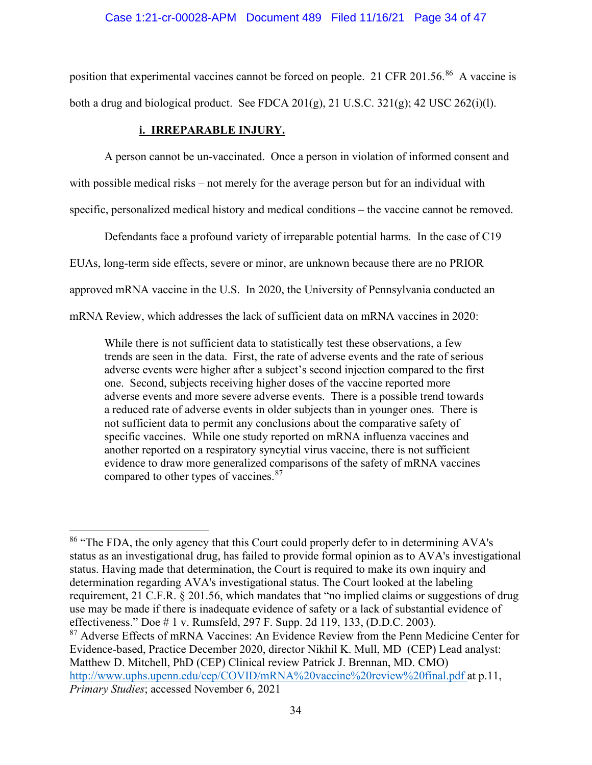position that experimental vaccines cannot be forced on people. 21 CFR 201.56.<sup>86</sup> A vaccine is both a drug and biological product. See FDCA 201(g), 21 U.S.C. 321(g); 42 USC 262(i)(l).

# **i. IRREPARABLE INJURY.**

A person cannot be un-vaccinated. Once a person in violation of informed consent and with possible medical risks – not merely for the average person but for an individual with specific, personalized medical history and medical conditions – the vaccine cannot be removed.

Defendants face a profound variety of irreparable potential harms. In the case of C19

EUAs, long-term side effects, severe or minor, are unknown because there are no PRIOR

approved mRNA vaccine in the U.S. In 2020, the University of Pennsylvania conducted an

mRNA Review, which addresses the lack of sufficient data on mRNA vaccines in 2020:

While there is not sufficient data to statistically test these observations, a few trends are seen in the data. First, the rate of adverse events and the rate of serious adverse events were higher after a subject's second injection compared to the first one. Second, subjects receiving higher doses of the vaccine reported more adverse events and more severe adverse events. There is a possible trend towards a reduced rate of adverse events in older subjects than in younger ones. There is not sufficient data to permit any conclusions about the comparative safety of specific vaccines. While one study reported on mRNA influenza vaccines and another reported on a respiratory syncytial virus vaccine, there is not sufficient evidence to draw more generalized comparisons of the safety of mRNA vaccines compared to other types of vaccines.<sup>[87](#page-33-1)</sup>

<span id="page-33-0"></span><sup>&</sup>lt;sup>86</sup> "The FDA, the only agency that this Court could properly defer to in determining AVA's status as an investigational drug, has failed to provide formal opinion as to AVA's investigational status. Having made that determination, the Court is required to make its own inquiry and determination regarding AVA's investigational status. The Court looked at the labeling requirement, 21 C.F.R. § 201.56, which mandates that "no implied claims or suggestions of drug use may be made if there is inadequate evidence of safety or a lack of substantial evidence of effectiveness." Doe # 1 v. Rumsfeld, 297 F. Supp. 2d 119, 133, (D.D.C. 2003).

<span id="page-33-1"></span><sup>&</sup>lt;sup>87</sup> Adverse Effects of mRNA Vaccines: An Evidence Review from the Penn Medicine Center for Evidence-based, Practice December 2020, director Nikhil K. Mull, MD (CEP) Lead analyst: Matthew D. Mitchell, PhD (CEP) Clinical review Patrick J. Brennan, MD. CMO) <http://www.uphs.upenn.edu/cep/COVID/mRNA%20vaccine%20review%20final.pdf> at p.11, *Primary Studies*; accessed November 6, 2021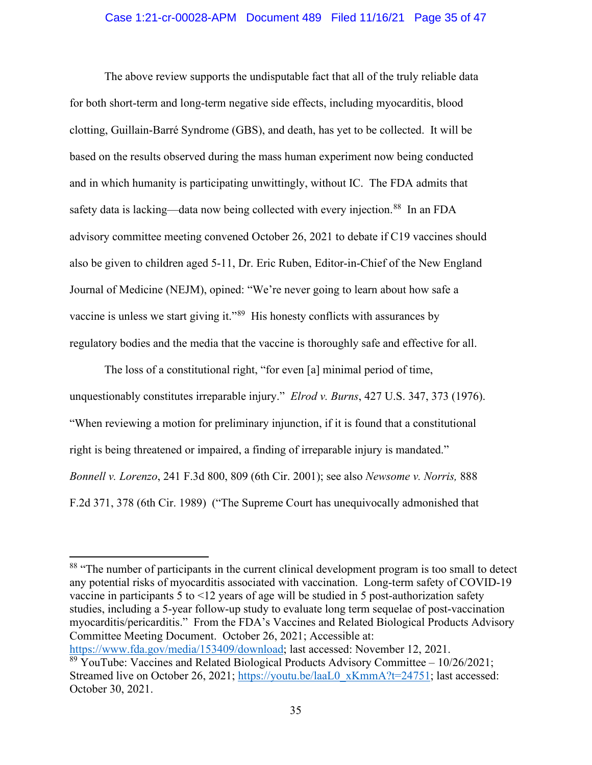The above review supports the undisputable fact that all of the truly reliable data for both short-term and long-term negative side effects, including myocarditis, blood clotting, Guillain-Barré Syndrome (GBS), and death, has yet to be collected. It will be based on the results observed during the mass human experiment now being conducted and in which humanity is participating unwittingly, without IC. The FDA admits that safety data is lacking—data now being collected with every injection.<sup>[88](#page-34-0)</sup> In an FDA advisory committee meeting convened October 26, 2021 to debate if C19 vaccines should also be given to children aged 5-11, Dr. Eric Ruben, Editor-in-Chief of the New England Journal of Medicine (NEJM), opined: "We're never going to learn about how safe a vaccine is unless we start giving it."<sup>89</sup> His honesty conflicts with assurances by regulatory bodies and the media that the vaccine is thoroughly safe and effective for all.

The loss of a constitutional right, "for even [a] minimal period of time, unquestionably constitutes irreparable injury." *Elrod v. Burns*, 427 U.S. 347, 373 (1976). "When reviewing a motion for preliminary injunction, if it is found that a constitutional right is being threatened or impaired, a finding of irreparable injury is mandated." *Bonnell v. Lorenzo*, 241 F.3d 800, 809 (6th Cir. 2001); see also *Newsome v. Norris,* 888 F.2d 371, 378 (6th Cir. 1989) ("The Supreme Court has unequivocally admonished that

[https://www.fda.gov/media/153409/download;](https://urldefense.com/v3/__https:/www.fda.gov/media/153409/download__;!!C5ewNI1kZw!HapQ0zKp984aCE0gTFaNo4IlXycbjlcHx1gx6AkyIb_hk_wnZd9_GPH4fPP2xev9dH-pVOWu$) last accessed: November 12, 2021.

<span id="page-34-0"></span><sup>&</sup>lt;sup>88</sup> "The number of participants in the current clinical development program is too small to detect any potential risks of myocarditis associated with vaccination. Long-term safety of COVID-19 vaccine in participants 5 to <12 years of age will be studied in 5 post-authorization safety studies, including a 5-year follow-up study to evaluate long term sequelae of post-vaccination myocarditis/pericarditis." From the FDA's Vaccines and Related Biological Products Advisory Committee Meeting Document. October 26, 2021; Accessible at:

<span id="page-34-1"></span> $89$  YouTube: Vaccines and Related Biological Products Advisory Committee  $-10/26/2021$ ; Streamed live on October 26, 2021; [https://youtu.be/laaL0\\_xKmmA?t=24751;](https://youtu.be/laaL0_xKmmA?t=24751) last accessed: October 30, 2021.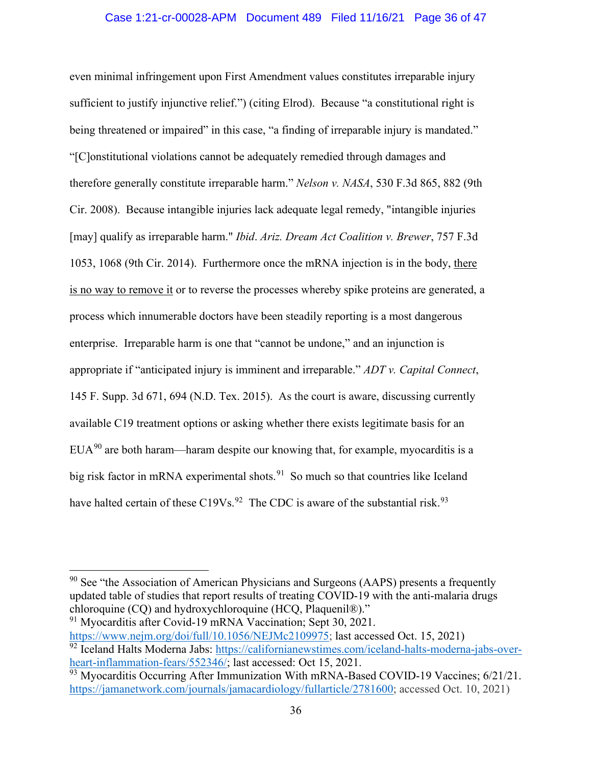even minimal infringement upon First Amendment values constitutes irreparable injury sufficient to justify injunctive relief.") (citing Elrod). Because "a constitutional right is being threatened or impaired" in this case, "a finding of irreparable injury is mandated." "[C]onstitutional violations cannot be adequately remedied through damages and therefore generally constitute irreparable harm." *Nelson v. NASA*, 530 F.3d 865, 882 (9th Cir. 2008). Because intangible injuries lack adequate legal remedy, "intangible injuries [may] qualify as irreparable harm." *Ibid*. *Ariz. Dream Act Coalition v. Brewer*, 757 F.3d 1053, 1068 (9th Cir. 2014). Furthermore once the mRNA injection is in the body, there is no way to remove it or to reverse the processes whereby spike proteins are generated, a process which innumerable doctors have been steadily reporting is a most dangerous enterprise. Irreparable harm is one that "cannot be undone," and an injunction is appropriate if "anticipated injury is imminent and irreparable." *ADT v. Capital Connect*, 145 F. Supp. 3d 671, 694 (N.D. Tex. 2015). As the court is aware, discussing currently available C19 treatment options or asking whether there exists legitimate basis for an  $EUA<sup>90</sup>$  $EUA<sup>90</sup>$  $EUA<sup>90</sup>$  are both haram—haram despite our knowing that, for example, myocarditis is a big risk factor in mRNA experimental shots.<sup>[91](#page-35-1)</sup> So much so that countries like Iceland have halted certain of these C19Vs.<sup>[92](#page-35-2)</sup> The CDC is aware of the substantial risk.<sup>[93](#page-35-3)</sup>

<span id="page-35-0"></span> $90$  See "the Association of American Physicians and Surgeons (AAPS) presents a frequently updated table of studies that report results of treating COVID-19 with the anti-malaria drugs chloroquine (CQ) and hydroxychloroquine (HCQ, Plaquenil®)." <sup>91</sup> Myocarditis after Covid-19 mRNA Vaccination; Sept 30, 2021.

<span id="page-35-2"></span><span id="page-35-1"></span>[https://www.nejm.org/doi/full/10.1056/NEJMc2109975;](https://urldefense.com/v3/__https:/www.nejm.org/doi/full/10.1056/NEJMc2109975__;!!C5ewNI1kZw!G_aDpF0JvxrLU2nlLkeCdQsZcn7AWypwzs1_UzHgIyfG29Z6m4V535TfIx-SgSeTQ-lI0joK$) last accessed Oct. 15, 2021) <sup>92</sup> Iceland Halts Moderna Jabs: [https://californianewstimes.com/iceland-halts-moderna-jabs-over](https://californianewstimes.com/iceland-halts-moderna-jabs-over-heart-inflammation-fears/552346/)[heart-inflammation-fears/552346/;](https://californianewstimes.com/iceland-halts-moderna-jabs-over-heart-inflammation-fears/552346/) last accessed: Oct 15, 2021.

<span id="page-35-3"></span> $\frac{93}{93}$  Myocarditis Occurring After Immunization With mRNA-Based COVID-19 Vaccines; 6/21/21. [https://jamanetwork.com/journals/jamacardiology/fullarticle/2781600;](https://jamanetwork.com/journals/jamacardiology/fullarticle/2781600) accessed Oct. 10, 2021)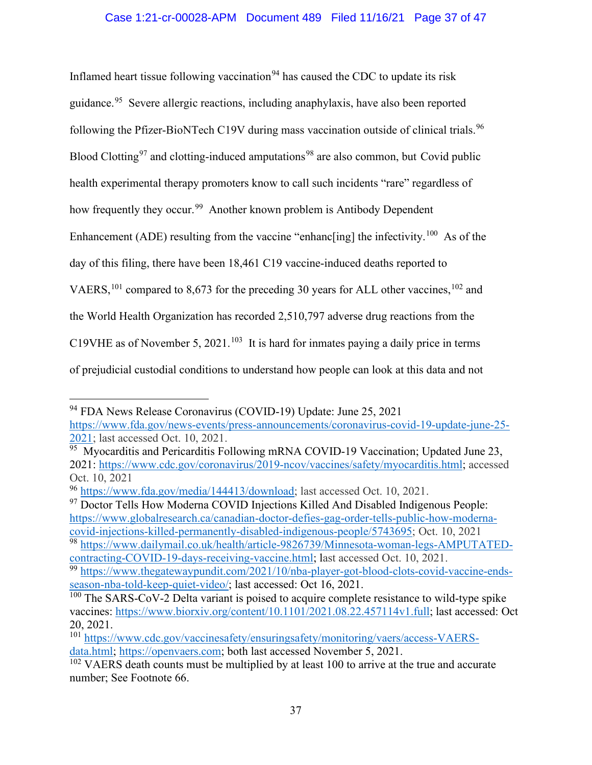Inflamed heart tissue following vaccination<sup>[94](#page-36-0)</sup> has caused the CDC to update its risk guidance. [95](#page-36-1) Severe allergic reactions, including anaphylaxis, have also been reported following the Pfizer-BioNTech C19V during mass vaccination outside of clinical trials.<sup>96</sup> Blood Clotting<sup>[97](#page-36-3)</sup> and clotting-induced amputations<sup>[98](#page-36-4)</sup> are also common, but Covid public health experimental therapy promoters know to call such incidents "rare" regardless of how frequently they occur.<sup>[99](#page-36-5)</sup> Another known problem is Antibody Dependent Enhancement (ADE) resulting from the vaccine "enhanc $\left[\text{ing}\right]$  the infectivity.<sup>[100](#page-36-6)</sup> As of the day of this filing, there have been 18,461 C19 vaccine-induced deaths reported to VAERS,  $^{101}$  $^{101}$  $^{101}$  compared to 8,673 for the preceding 30 years for ALL other vaccines,  $^{102}$  $^{102}$  $^{102}$  and the World Health Organization has recorded 2,510,797 adverse drug reactions from the C19VHE as of November 5, 2021.<sup>[103](#page-36-9)</sup> It is hard for inmates paying a daily price in terms of prejudicial custodial conditions to understand how people can look at this data and not

<span id="page-36-3"></span><sup>97</sup> Doctor Tells How Moderna COVID Injections Killed And Disabled Indigenous People: [https://www.globalresearch.ca/canadian-doctor-defies-gag-order-tells-public-how-moderna](https://www.globalresearch.ca/canadian-doctor-defies-gag-order-tells-public-how-moderna-covid-injections-killed-permanently-disabled-indigenous-people/5743695)[covid-injections-killed-permanently-disabled-indigenous-people/5743695;](https://www.globalresearch.ca/canadian-doctor-defies-gag-order-tells-public-how-moderna-covid-injections-killed-permanently-disabled-indigenous-people/5743695) Oct. 10, 2021 <sup>98</sup> [https://www.dailymail.co.uk/health/article-9826739/Minnesota-woman-legs-AMPUTATED-](https://www.dailymail.co.uk/health/article-9826739/Minnesota-woman-legs-AMPUTATED-contracting-COVID-19-days-receiving-vaccine.html)

<span id="page-36-4"></span>[contracting-COVID-19-days-receiving-vaccine.html;](https://www.dailymail.co.uk/health/article-9826739/Minnesota-woman-legs-AMPUTATED-contracting-COVID-19-days-receiving-vaccine.html) last accessed Oct. 10, 2021. <sup>99</sup> [https://www.thegatewaypundit.com/2021/10/nba-player-got-blood-clots-covid-vaccine-ends-](https://urldefense.com/v3/__https:/www.thegatewaypundit.com/2021/10/nba-player-got-blood-clots-covid-vaccine-ends-season-nba-told-keep-quiet-video/__;!!C5ewNI1kZw!BY-9lx1pgju4lHp9OT269aBxhNup0Lld9XTpyv37Stn5NhEIdgXwaFD78tcILY9OzyucmDYD$)

<span id="page-36-5"></span>[season-nba-told-keep-quiet-video/;](https://urldefense.com/v3/__https:/www.thegatewaypundit.com/2021/10/nba-player-got-blood-clots-covid-vaccine-ends-season-nba-told-keep-quiet-video/__;!!C5ewNI1kZw!BY-9lx1pgju4lHp9OT269aBxhNup0Lld9XTpyv37Stn5NhEIdgXwaFD78tcILY9OzyucmDYD$) last accessed: Oct 16, 2021.

<span id="page-36-0"></span><sup>94</sup> FDA News Release Coronavirus (COVID-19) Update: June 25, 2021 [https://www.fda.gov/news-events/press-announcements/coronavirus-covid-19-update-june-25-](https://www.fda.gov/news-events/press-announcements/coronavirus-covid-19-update-june-25-2021) [2021;](https://www.fda.gov/news-events/press-announcements/coronavirus-covid-19-update-june-25-2021) last accessed Oct. 10, 2021.

<span id="page-36-1"></span> $\frac{1}{95}$  Myocarditis and Pericarditis Following mRNA COVID-19 Vaccination; Updated June 23, 2021: [https://www.cdc.gov/coronavirus/2019-ncov/vaccines/safety/myocarditis.html;](https://www.cdc.gov/coronavirus/2019-ncov/vaccines/safety/myocarditis.html) accessed Oct. 10, 2021

<span id="page-36-2"></span><sup>96</sup> [https://www.fda.gov/media/144413/download;](https://urldefense.com/v3/__https:/www.fda.gov/media/144413/download__;!!C5ewNI1kZw!CP3o7rI35dCC5t0g_CJqUyZk-XFi_aQl6cRXoks64SEMGVhQw7wQSyIwLtsxKIDh9sHxhRer$) last accessed Oct. 10, 2021.

<span id="page-36-6"></span> $100$  The SARS-CoV-2 Delta variant is poised to acquire complete resistance to wild-type spike vaccines: [https://www.biorxiv.org/content/10.1101/2021.08.22.457114v1.full;](https://urldefense.com/v3/__https:/www.biorxiv.org/content/10.1101/2021.08.22.457114v1.full__;!!C5ewNI1kZw!Ahlti0kZYY_vKu0WxDslX1QwI7wqNEIA_XpvvS_bqdK7i-H46TpwJZZL0x4prRTPYC4LIXkz$) last accessed: Oct 20, 2021.

<span id="page-36-7"></span><sup>101</sup> [https://www.cdc.gov/vaccinesafety/ensuringsafety/monitoring/vaers/access-VAERS](https://www.cdc.gov/vaccinesafety/ensuringsafety/monitoring/vaers/access-VAERS-data.html)[data.html;](https://www.cdc.gov/vaccinesafety/ensuringsafety/monitoring/vaers/access-VAERS-data.html) [https://openvaers.com;](https://openvaers.com/) both last accessed November 5, 2021.

<span id="page-36-9"></span><span id="page-36-8"></span> $102$  VAERS death counts must be multiplied by at least 100 to arrive at the true and accurate number; See Footnote 66.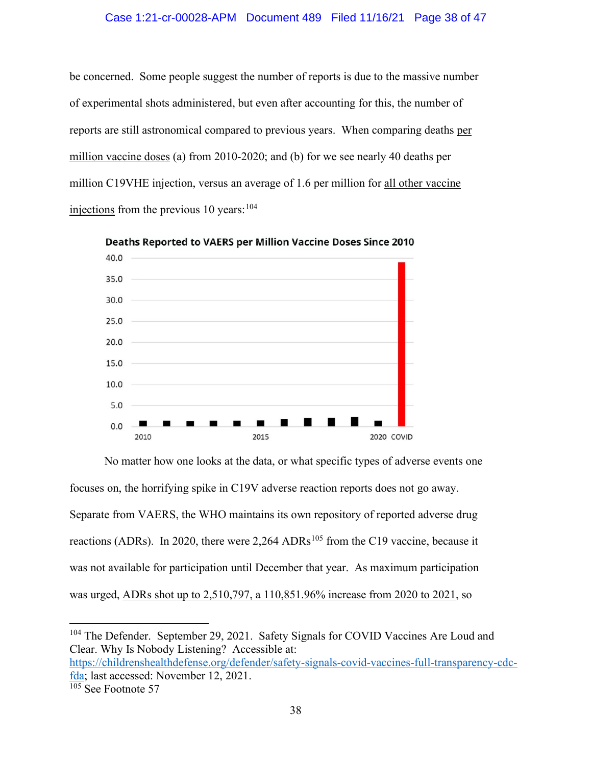#### Case 1:21-cr-00028-APM Document 489 Filed 11/16/21 Page 38 of 47

be concerned. Some people suggest the number of reports is due to the massive number of experimental shots administered, but even after accounting for this, the number of reports are still astronomical compared to previous years. When comparing deaths per million vaccine doses (a) from 2010-2020; and (b) for we see nearly 40 deaths per million C19VHE injection, versus an average of 1.6 per million for all other vaccine injections from the previous  $10$  years:  $104$ 



Deaths Reported to VAERS per Million Vaccine Doses Since 2010

No matter how one looks at the data, or what specific types of adverse events one focuses on, the horrifying spike in C19V adverse reaction reports does not go away. Separate from VAERS, the WHO maintains its own repository of reported adverse drug reactions (ADRs). In 2020, there were  $2,264$  ADRs<sup>[105](#page-37-1)</sup> from the C19 vaccine, because it was not available for participation until December that year. As maximum participation was urged, ADRs shot up to 2,510,797, a 110,851.96% increase from 2020 to 2021, so

[https://childrenshealthdefense.org/defender/safety-signals-covid-vaccines-full-transparency-cdc](https://childrenshealthdefense.org/defender/safety-signals-covid-vaccines-full-transparency-cdc-fda)[fda;](https://childrenshealthdefense.org/defender/safety-signals-covid-vaccines-full-transparency-cdc-fda) last accessed: November 12, 2021.

<span id="page-37-0"></span><sup>&</sup>lt;sup>104</sup> The Defender. September 29, 2021. Safety Signals for COVID Vaccines Are Loud and Clear. Why Is Nobody Listening? Accessible at:

<span id="page-37-1"></span> $\frac{105}{105}$  See Footnote 57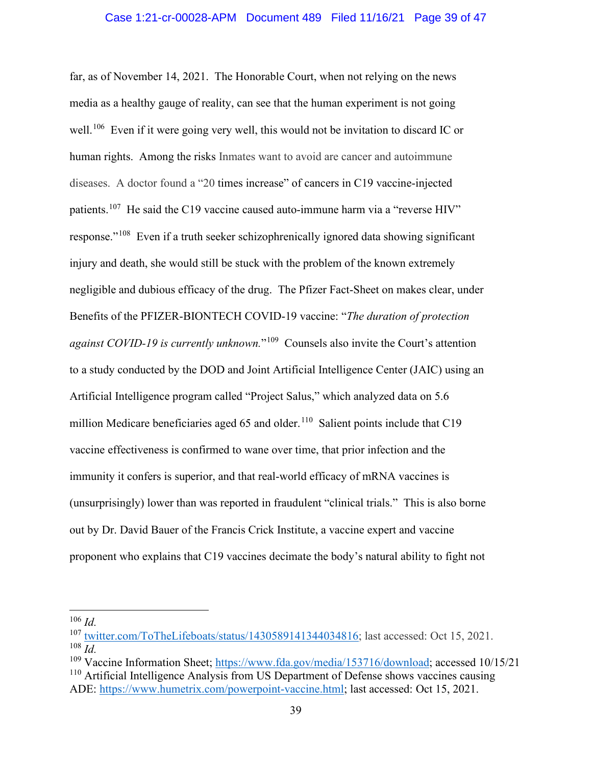far, as of November 14, 2021. The Honorable Court, when not relying on the news media as a healthy gauge of reality, can see that the human experiment is not going well.<sup>[106](#page-38-0)</sup> Even if it were going very well, this would not be invitation to discard IC or human rights. Among the risks Inmates want to avoid are cancer and autoimmune diseases. A doctor found a "20 times increase" of cancers in C19 vaccine-injected patients.<sup>[107](#page-38-1)</sup> He said the C19 vaccine caused auto-immune harm via a "reverse HIV" response."[108](#page-38-2) Even if a truth seeker schizophrenically ignored data showing significant injury and death, she would still be stuck with the problem of the known extremely negligible and dubious efficacy of the drug. The Pfizer Fact-Sheet on makes clear, under Benefits of the PFIZER-BIONTECH COVID-19 vaccine: "*The duration of protection against COVID-19 is currently unknown.*"[109](#page-38-3) Counsels also invite the Court's attention to a study conducted by the DOD and Joint Artificial Intelligence Center (JAIC) using an Artificial Intelligence program called "Project Salus," which analyzed data on 5.6 million Medicare beneficiaries aged 65 and older.<sup>110</sup> Salient points include that C19 vaccine effectiveness is confirmed to wane over time, that prior infection and the immunity it confers is superior, and that real-world efficacy of mRNA vaccines is (unsurprisingly) lower than was reported in fraudulent "clinical trials." This is also borne out by Dr. David Bauer of the Francis Crick Institute, a vaccine expert and vaccine proponent who explains that C19 vaccines decimate the body's natural ability to fight not

<span id="page-38-0"></span><sup>106</sup> *Id.*

<span id="page-38-1"></span><sup>107</sup> [twitter.com/ToTheLifeboats/status/1430589141344034816;](https://urldefense.com/v3/__https:/twitter.com/ToTheLifeboats/status/1430589141344034816__;!!C5ewNI1kZw!Ahlti0kZYY_vKu0WxDslX1QwI7wqNEIA_XpvvS_bqdK7i-H46TpwJZZL0x4prRTPYJC8jGYI$) last accessed: Oct 15, 2021. <sup>108</sup> *Id.*

<span id="page-38-4"></span><span id="page-38-3"></span><span id="page-38-2"></span><sup>&</sup>lt;sup>109</sup> Vaccine Information Sheet; [https://www.fda.gov/media/153716/download;](https://www.fda.gov/media/153716/download) accessed 10/15/21 <sup>110</sup> Artificial Intelligence Analysis from US Department of Defense shows vaccines causing ADE: [https://www.humetrix.com/powerpoint-vaccine.html;](https://www.humetrix.com/powerpoint-vaccine.html) last accessed: Oct 15, 2021.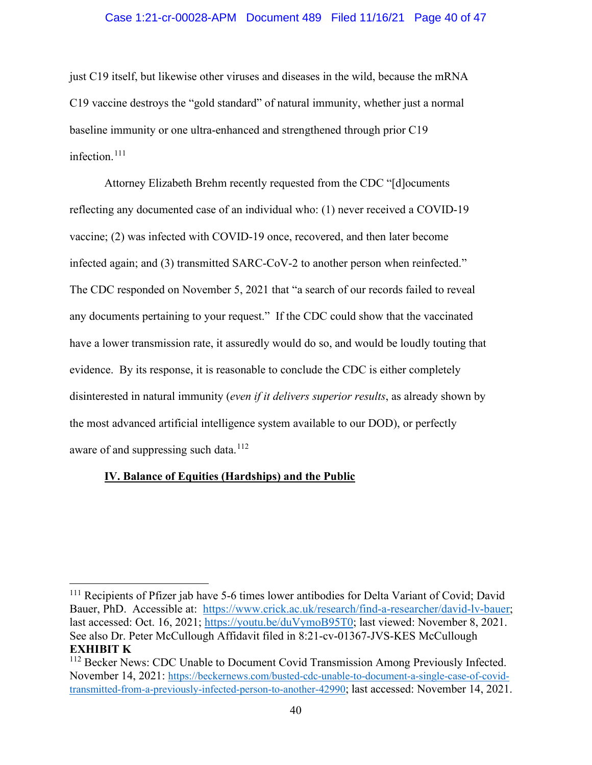#### Case 1:21-cr-00028-APM Document 489 Filed 11/16/21 Page 40 of 47

just C19 itself, but likewise other viruses and diseases in the wild, because the mRNA C19 vaccine destroys the "gold standard" of natural immunity, whether just a normal baseline immunity or one ultra-enhanced and strengthened through prior C19 infection.[111](#page-39-0)

Attorney Elizabeth Brehm recently requested from the CDC "[d]ocuments reflecting any documented case of an individual who: (1) never received a COVID-19 vaccine; (2) was infected with COVID-19 once, recovered, and then later become infected again; and (3) transmitted SARC-CoV-2 to another person when reinfected." The CDC responded on November 5, 2021 that "a search of our records failed to reveal any documents pertaining to your request." If the CDC could show that the vaccinated have a lower transmission rate, it assuredly would do so, and would be loudly touting that evidence. By its response, it is reasonable to conclude the CDC is either completely disinterested in natural immunity (*even if it delivers superior results*, as already shown by the most advanced artificial intelligence system available to our DOD), or perfectly aware of and suppressing such data.<sup>[112](#page-39-1)</sup>

## **IV. Balance of Equities (Hardships) and the Public**

<span id="page-39-0"></span><sup>&</sup>lt;sup>111</sup> Recipients of Pfizer jab have 5-6 times lower antibodies for Delta Variant of Covid; David Bauer, PhD. Accessible at: [https://www.crick.ac.uk/research/find-a-researcher/david-lv-bauer;](https://www.crick.ac.uk/research/find-a-researcher/david-lv-bauer) last accessed: Oct. 16, 2021; [https://youtu.be/duVymoB95T0;](https://youtu.be/duVymoB95T0) last viewed: November 8, 2021. See also Dr. Peter McCullough Affidavit filed in 8:21-cv-01367-JVS-KES McCullough **EXHIBIT K**

<span id="page-39-1"></span><sup>&</sup>lt;sup>112</sup> Becker News: CDC Unable to Document Covid Transmission Among Previously Infected. November 14, 2021: [https://beckernews.com/busted-cdc-unable-to-document-a-single-case-of-covid](https://beckernews.com/busted-cdc-unable-to-document-a-single-case-of-covid-transmitted-from-a-previously-infected-person-to-another-42990)[transmitted-from-a-previously-infected-person-to-another-42990;](https://beckernews.com/busted-cdc-unable-to-document-a-single-case-of-covid-transmitted-from-a-previously-infected-person-to-another-42990) last accessed: November 14, 2021.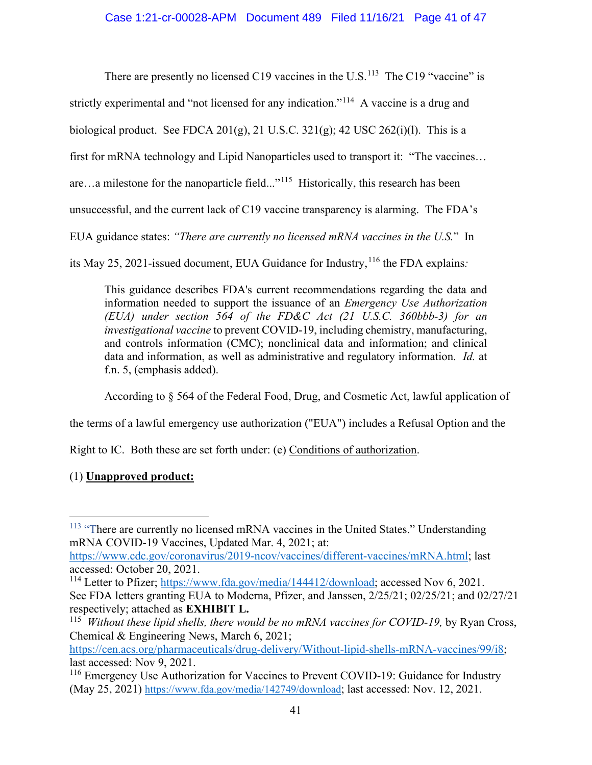There are presently no licensed C19 vaccines in the U.S.<sup>[113](#page-40-0)</sup> The C19 "vaccine" is

strictly experimental and "not licensed for any indication."<sup>114</sup> A vaccine is a drug and

biological product. See FDCA  $201(g)$ , 21 U.S.C.  $321(g)$ ; 42 USC  $262(i)(1)$ . This is a

first for mRNA technology and Lipid Nanoparticles used to transport it: "The vaccines…

are…a milestone for the nanoparticle field..."[115](#page-40-2) Historically, this research has been

unsuccessful, and the current lack of C19 vaccine transparency is alarming. The FDA's

EUA guidance states: *"There are currently no licensed mRNA vaccines in the U.S.*" In

its May 25, 2021-issued document, EUA Guidance for Industry,[116](#page-40-3) the FDA explains*:*

This guidance describes FDA's current recommendations regarding the data and information needed to support the issuance of an *Emergency Use Authorization (EUA) under section 564 of the FD&C Act (21 U.S.C. 360bbb-3) for an investigational vaccine* to prevent COVID-19, including chemistry, manufacturing, and controls information (CMC); nonclinical data and information; and clinical data and information, as well as administrative and regulatory information. *Id.* at f.n. 5, (emphasis added).

According to § 564 of the Federal Food, Drug, and Cosmetic Act, lawful application of

the terms of a lawful emergency use authorization ("EUA") includes a Refusal Option and the

Right to IC. Both these are set forth under: (e) Conditions of authorization.

# (1) **Unapproved product:**

<span id="page-40-0"></span><sup>&</sup>lt;sup>113</sup> "There are currently no licensed mRNA vaccines in the United States." Understanding mRNA COVID-19 Vaccines, Updated Mar. 4, 2021; at:

[https://www.cdc.gov/coronavirus/2019-ncov/vaccines/different-vaccines/mRNA.html;](https://www.cdc.gov/coronavirus/2019-ncov/vaccines/different-vaccines/mRNA.html?CDC_AA_refVal=https%3A%2F%2Fwww.cdc.gov%2Fvaccines%2Fcovid-19%2Fhcp%2Fmrna-vaccine-basics.htmlvaccines/mRNA.html?CDC_AA_refVal=htt) last accessed: October 20, 2021.

<span id="page-40-1"></span><sup>&</sup>lt;sup>114</sup> Letter to Pfizer; [https://www.fda.gov/media/144412/download;](https://www.fda.gov/media/144412/download) accessed Nov 6, 2021. See FDA letters granting EUA to Moderna, Pfizer, and Janssen, 2/25/21; 02/25/21; and 02/27/21 respectively; attached as **EXHIBIT L.**

<span id="page-40-2"></span><sup>115</sup> *Without these lipid shells, there would be no mRNA vaccines for COVID-19,* by Ryan Cross, Chemical & Engineering News, March 6, 2021;

[https://cen.acs.org/pharmaceuticals/drug-delivery/Without-lipid-shells-mRNA-vaccines/99/i8;](https://cen.acs.org/pharmaceuticals/drug-delivery/Without-lipid-shells-mRNA-vaccines/99/i8) last accessed: Nov 9, 2021.

<span id="page-40-3"></span><sup>&</sup>lt;sup>116</sup> Emergency Use Authorization for Vaccines to Prevent COVID-19: Guidance for Industry (May 25, 2021) [https://www.fda.gov/media/142749/download;](https://www.fda.gov/media/142749/download) last accessed: Nov. 12, 2021.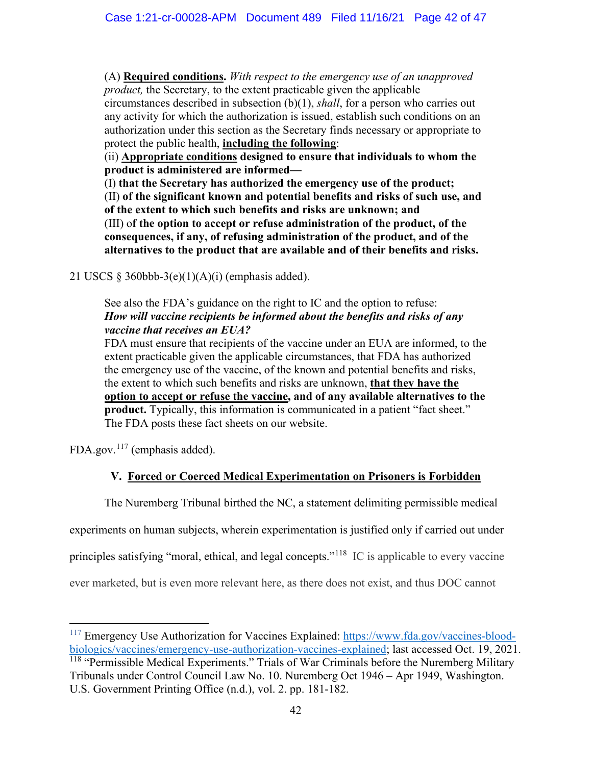(A) **Required conditions.** *With respect to the emergency use of an unapproved product,* the Secretary, to the extent practicable given the applicable

circumstances described in subsection (b)(1), *shall*, for a person who carries out any activity for which the authorization is issued, establish such conditions on an authorization under this section as the Secretary finds necessary or appropriate to protect the public health, **including the following**:

(ii) **Appropriate conditions designed to ensure that individuals to whom the product is administered are informed—**

(I) **that the Secretary has authorized the emergency use of the product;** (II) **of the significant known and potential benefits and risks of such use, and of the extent to which such benefits and risks are unknown; and** (III) o**f the option to accept or refuse administration of the product, of the consequences, if any, of refusing administration of the product, and of the alternatives to the product that are available and of their benefits and risks.**

21 USCS  $\S$  360bbb-3(e)(1)(A)(i) (emphasis added).

# See also the FDA's guidance on the right to IC and the option to refuse: *How will vaccine recipients be informed about the benefits and risks of any vaccine that receives an EUA?*

FDA must ensure that recipients of the vaccine under an EUA are informed, to the extent practicable given the applicable circumstances, that FDA has authorized the emergency use of the vaccine, of the known and potential benefits and risks, the extent to which such benefits and risks are unknown, **that they have the option to accept or refuse the vaccine, and of any available alternatives to the product.** Typically, this information is communicated in a patient "fact sheet." The FDA posts these fact sheets on our website.

FDA.gov.<sup>[117](#page-41-0)</sup> (emphasis added).

# **V. Forced or Coerced Medical Experimentation on Prisoners is Forbidden**

The Nuremberg Tribunal birthed the NC, a statement delimiting permissible medical

experiments on human subjects, wherein experimentation is justified only if carried out under

principles satisfying "moral, ethical, and legal concepts."[118](#page-41-1) IC is applicable to every vaccine

ever marketed, but is even more relevant here, as there does not exist, and thus DOC cannot

<span id="page-41-1"></span><span id="page-41-0"></span><sup>&</sup>lt;sup>117</sup> Emergency Use Authorization for Vaccines Explained: [https://www.fda.gov/vaccines-blood](https://www.fda.gov/vaccines-blood-biologics/vaccines/emergency-use-authorization-vaccines-explained)[biologics/vaccines/emergency-use-authorization-vaccines-explained;](https://www.fda.gov/vaccines-blood-biologics/vaccines/emergency-use-authorization-vaccines-explained) last accessed Oct. 19, 2021. <sup>118</sup> "Permissible Medical Experiments." Trials of War Criminals before the Nuremberg Military Tribunals under Control Council Law No. 10. Nuremberg Oct 1946 – Apr 1949, Washington. U.S. Government Printing Office (n.d.), vol. 2. pp. 181-182.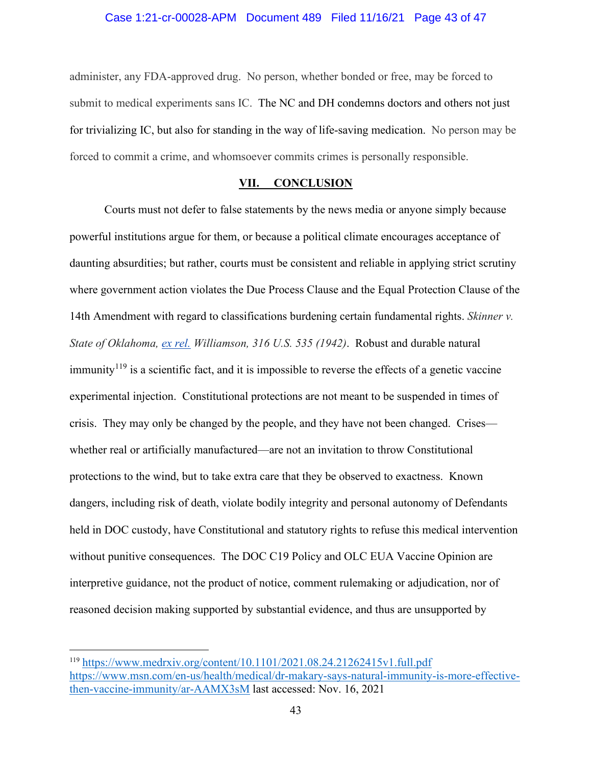administer, any FDA-approved drug. No person, whether bonded or free, may be forced to submit to medical experiments sans IC. The NC and DH condemns doctors and others not just for trivializing IC, but also for standing in the way of life-saving medication. No person may be forced to commit a crime, and whomsoever commits crimes is personally responsible.

## **VII. CONCLUSION**

Courts must not defer to false statements by the news media or anyone simply because powerful institutions argue for them, or because a political climate encourages acceptance of daunting absurdities; but rather, courts must be consistent and reliable in applying strict scrutiny where government action violates the Due Process Clause and the Equal Protection Clause of the 14th Amendment with regard to classifications burdening certain fundamental rights. *Skinner v. State of Oklahoma, [ex rel.](https://en.wikipedia.org/wiki/Ex_rel.) Williamson, 316 U.S. 535 (1942)*. Robust and durable natural immunity<sup> $119$ </sup> is a scientific fact, and it is impossible to reverse the effects of a genetic vaccine experimental injection. Constitutional protections are not meant to be suspended in times of crisis. They may only be changed by the people, and they have not been changed. Crises whether real or artificially manufactured—are not an invitation to throw Constitutional protections to the wind, but to take extra care that they be observed to exactness. Known dangers, including risk of death, violate bodily integrity and personal autonomy of Defendants held in DOC custody, have Constitutional and statutory rights to refuse this medical intervention without punitive consequences. The DOC C19 Policy and OLC EUA Vaccine Opinion are interpretive guidance, not the product of notice, comment rulemaking or adjudication, nor of reasoned decision making supported by substantial evidence, and thus are unsupported by

<span id="page-42-0"></span><sup>119</sup> <https://www.medrxiv.org/content/10.1101/2021.08.24.21262415v1.full.pdf> [https://www.msn.com/en-us/health/medical/dr-makary-says-natural-immunity-is-more-effective](https://www.msn.com/en-us/health/medical/dr-makary-says-natural-immunity-is-more-effective-then-vaccine-immunity/ar-AAMX3sM)[then-vaccine-immunity/ar-AAMX3sM](https://www.msn.com/en-us/health/medical/dr-makary-says-natural-immunity-is-more-effective-then-vaccine-immunity/ar-AAMX3sM) last accessed: Nov. 16, 2021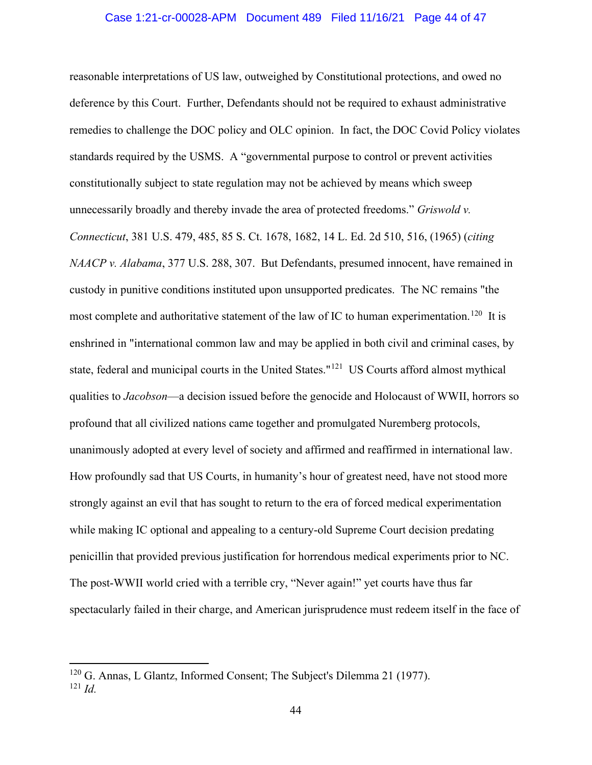reasonable interpretations of US law, outweighed by Constitutional protections, and owed no deference by this Court. Further, Defendants should not be required to exhaust administrative remedies to challenge the DOC policy and OLC opinion. In fact, the DOC Covid Policy violates standards required by the USMS. A "governmental purpose to control or prevent activities constitutionally subject to state regulation may not be achieved by means which sweep unnecessarily broadly and thereby invade the area of protected freedoms." *Griswold v. Connecticut*, 381 U.S. 479, 485, 85 S. Ct. 1678, 1682, 14 L. Ed. 2d 510, 516, (1965) (*citing NAACP v. Alabama*, 377 U.S. 288, 307. But Defendants, presumed innocent, have remained in custody in punitive conditions instituted upon unsupported predicates. The NC remains "the most complete and authoritative statement of the law of IC to human experimentation.<sup>[120](#page-43-0)</sup> It is enshrined in "international common law and may be applied in both civil and criminal cases, by state, federal and municipal courts in the United States."<sup>[121](#page-43-1)</sup> US Courts afford almost mythical qualities to *Jacobson*—a decision issued before the genocide and Holocaust of WWII, horrors so profound that all civilized nations came together and promulgated Nuremberg protocols, unanimously adopted at every level of society and affirmed and reaffirmed in international law. How profoundly sad that US Courts, in humanity's hour of greatest need, have not stood more strongly against an evil that has sought to return to the era of forced medical experimentation while making IC optional and appealing to a century-old Supreme Court decision predating penicillin that provided previous justification for horrendous medical experiments prior to NC. The post-WWII world cried with a terrible cry, "Never again!" yet courts have thus far spectacularly failed in their charge, and American jurisprudence must redeem itself in the face of

<span id="page-43-1"></span><span id="page-43-0"></span><sup>120</sup> G. Annas, L Glantz, Informed Consent; The Subject's Dilemma 21 (1977). <sup>121</sup> *Id.*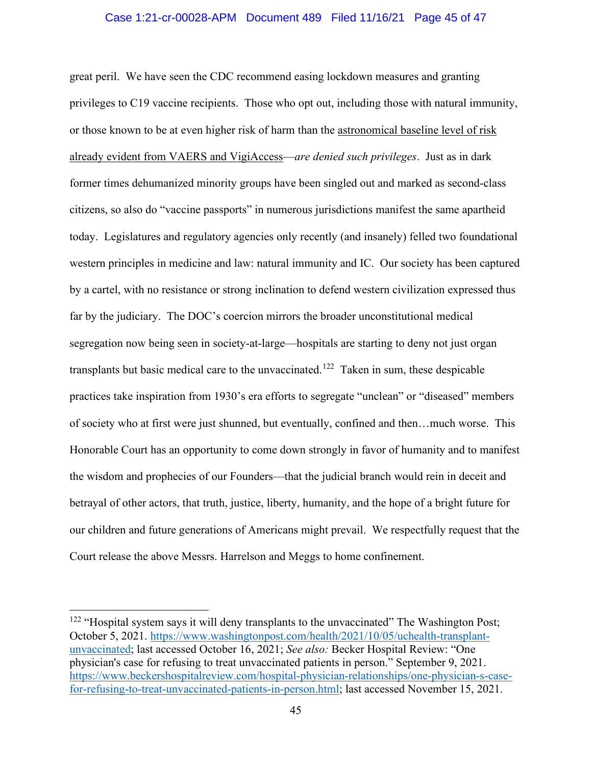#### Case 1:21-cr-00028-APM Document 489 Filed 11/16/21 Page 45 of 47

great peril. We have seen the CDC recommend easing lockdown measures and granting privileges to C19 vaccine recipients. Those who opt out, including those with natural immunity, or those known to be at even higher risk of harm than the astronomical baseline level of risk already evident from VAERS and VigiAccess—*are denied such privileges*. Just as in dark former times dehumanized minority groups have been singled out and marked as second-class citizens, so also do "vaccine passports" in numerous jurisdictions manifest the same apartheid today. Legislatures and regulatory agencies only recently (and insanely) felled two foundational western principles in medicine and law: natural immunity and IC. Our society has been captured by a cartel, with no resistance or strong inclination to defend western civilization expressed thus far by the judiciary. The DOC's coercion mirrors the broader unconstitutional medical segregation now being seen in society-at-large—hospitals are starting to deny not just organ transplants but basic medical care to the unvaccinated.<sup>[122](#page-44-0)</sup> Taken in sum, these despicable practices take inspiration from 1930's era efforts to segregate "unclean" or "diseased" members of society who at first were just shunned, but eventually, confined and then…much worse. This Honorable Court has an opportunity to come down strongly in favor of humanity and to manifest the wisdom and prophecies of our Founders—that the judicial branch would rein in deceit and betrayal of other actors, that truth, justice, liberty, humanity, and the hope of a bright future for our children and future generations of Americans might prevail. We respectfully request that the Court release the above Messrs. Harrelson and Meggs to home confinement.

<span id="page-44-0"></span> $122$  "Hospital system says it will deny transplants to the unvaccinated" The Washington Post; October 5, 2021. [https://www.washingtonpost.com/health/2021/10/05/uchealth-transplant](https://www.washingtonpost.com/health/2021/10/05/uchealth-transplant-unvaccinated)[unvaccinated;](https://www.washingtonpost.com/health/2021/10/05/uchealth-transplant-unvaccinated) last accessed October 16, 2021; *See also:* Becker Hospital Review: "One physician's case for refusing to treat unvaccinated patients in person." September 9, 2021. [https://www.beckershospitalreview.com/hospital-physician-relationships/one-physician-s-case](https://www.beckershospitalreview.com/hospital-physician-relationships/one-physician-s-case-for-refusing-to-treat-unvaccinated-patients-in-person.html)[for-refusing-to-treat-unvaccinated-patients-in-person.html;](https://www.beckershospitalreview.com/hospital-physician-relationships/one-physician-s-case-for-refusing-to-treat-unvaccinated-patients-in-person.html) last accessed November 15, 2021.